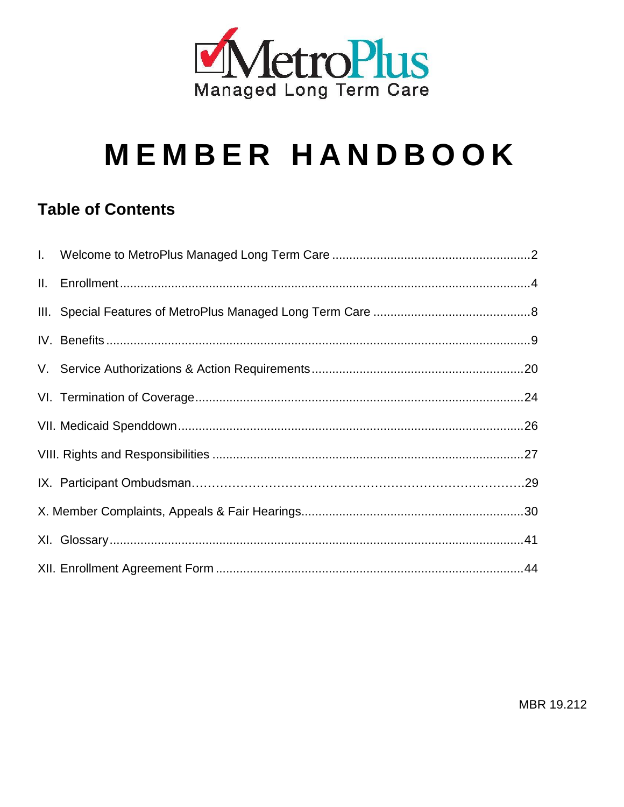

# **MEMBER HANDBOOK**

#### **Table of Contents**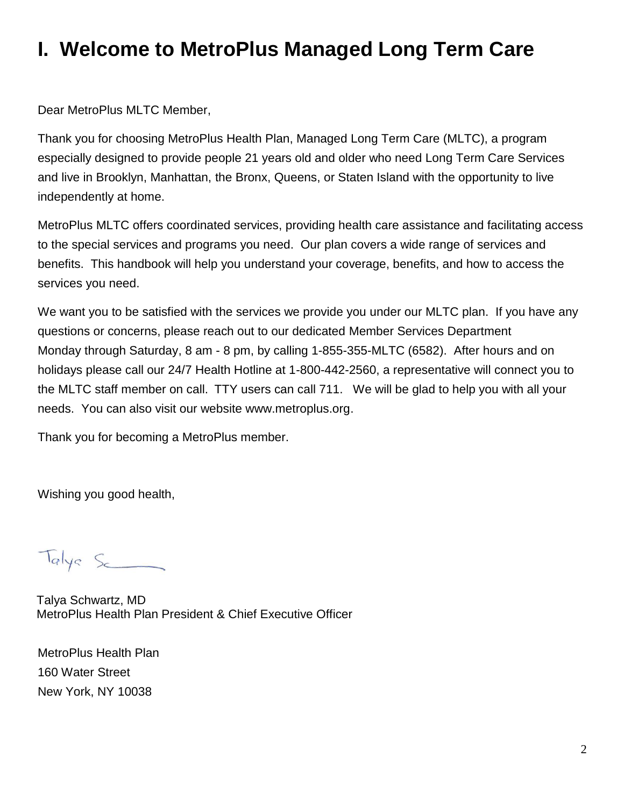# **I. Welcome to MetroPlus Managed Long Term Care**

Dear MetroPlus MLTC Member,

Thank you for choosing MetroPlus Health Plan, Managed Long Term Care (MLTC), a program especially designed to provide people 21 years old and older who need Long Term Care Services and live in Brooklyn, Manhattan, the Bronx, Queens, or Staten Island with the opportunity to live independently at home.

MetroPlus MLTC offers coordinated services, providing health care assistance and facilitating access to the special services and programs you need. Our plan covers a wide range of services and benefits. This handbook will help you understand your coverage, benefits, and how to access the services you need.

We want you to be satisfied with the services we provide you under our MLTC plan. If you have any questions or concerns, please reach out to our dedicated Member Services Department Monday through Saturday, 8 am - 8 pm, by calling 1-855-355-MLTC (6582). After hours and on holidays please call our 24/7 Health Hotline at 1-800-442-2560, a representative will connect you to the MLTC staff member on call. TTY users can call 711. We will be glad to help you with all your needs. You can also visit our website www.metroplus.org.

Thank you for becoming a MetroPlus member.

Wishing you good health,

Talys Sc

Talya Schwartz, MD MetroPlus Health Plan President & Chief Executive Officer

MetroPlus Health Plan 160 Water Street New York, NY 10038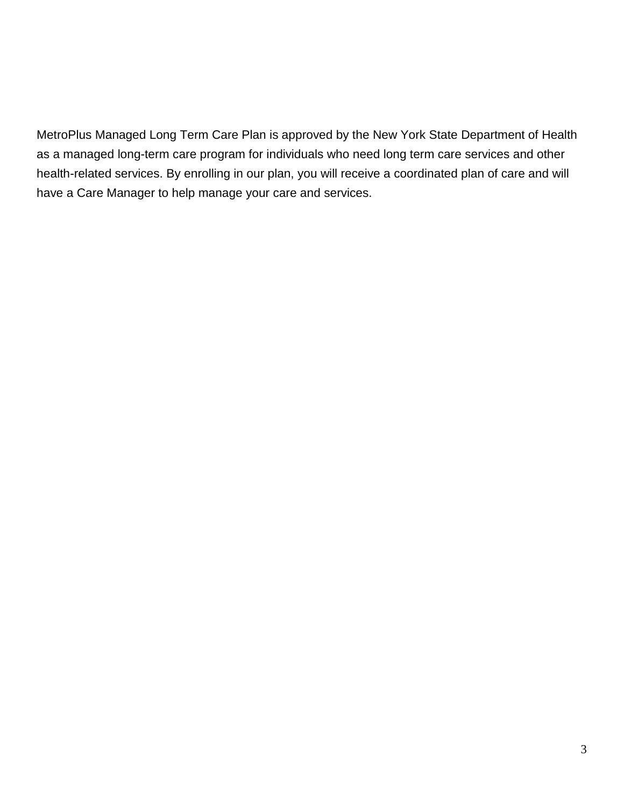MetroPlus Managed Long Term Care Plan is approved by the New York State Department of Health as a managed long-term care program for individuals who need long term care services and other health-related services. By enrolling in our plan, you will receive a coordinated plan of care and will have a Care Manager to help manage your care and services.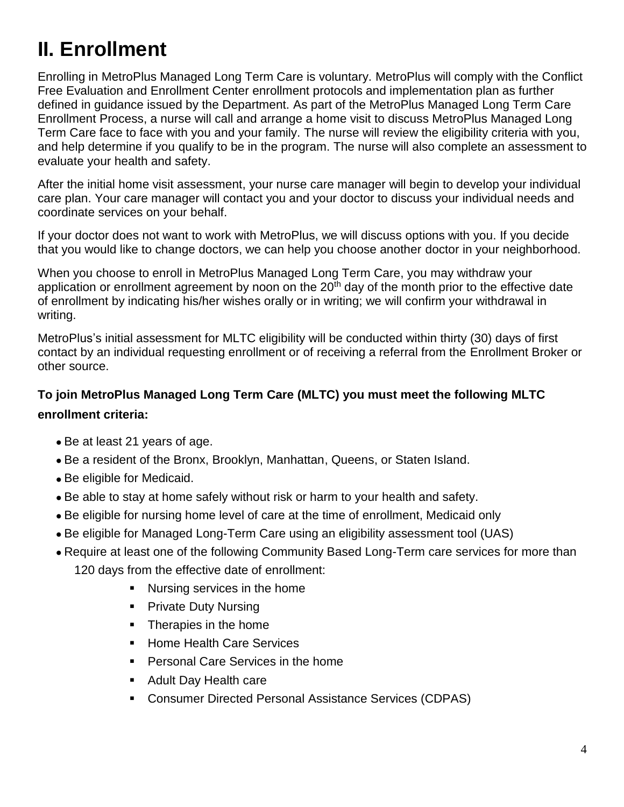# **II. Enrollment**

Enrolling in MetroPlus Managed Long Term Care is voluntary. MetroPlus will comply with the Conflict Free Evaluation and Enrollment Center enrollment protocols and implementation plan as further defined in guidance issued by the Department. As part of the MetroPlus Managed Long Term Care Enrollment Process, a nurse will call and arrange a home visit to discuss MetroPlus Managed Long Term Care face to face with you and your family. The nurse will review the eligibility criteria with you, and help determine if you qualify to be in the program. The nurse will also complete an assessment to evaluate your health and safety.

After the initial home visit assessment, your nurse care manager will begin to develop your individual care plan. Your care manager will contact you and your doctor to discuss your individual needs and coordinate services on your behalf.

If your doctor does not want to work with MetroPlus, we will discuss options with you. If you decide that you would like to change doctors, we can help you choose another doctor in your neighborhood.

When you choose to enroll in MetroPlus Managed Long Term Care, you may withdraw your application or enrollment agreement by noon on the 20<sup>th</sup> day of the month prior to the effective date of enrollment by indicating his/her wishes orally or in writing; we will confirm your withdrawal in writing.

MetroPlus's initial assessment for MLTC eligibility will be conducted within thirty (30) days of first contact by an individual requesting enrollment or of receiving a referral from the Enrollment Broker or other source.

#### **To join MetroPlus Managed Long Term Care (MLTC) you must meet the following MLTC enrollment criteria:**

- Be at least 21 years of age.
- Be a resident of the Bronx, Brooklyn, Manhattan, Queens, or Staten Island.
- Be eligible for Medicaid.
- Be able to stay at home safely without risk or harm to your health and safety.
- Be eligible for nursing home level of care at the time of enrollment, Medicaid only
- Be eligible for Managed Long-Term Care using an eligibility assessment tool (UAS)
- Require at least one of the following Community Based Long-Term care services for more than 120 days from the effective date of enrollment:
	- Nursing services in the home
	- Private Duty Nursing
	- Therapies in the home
	- Home Health Care Services
	- Personal Care Services in the home
	- Adult Day Health care
	- Consumer Directed Personal Assistance Services (CDPAS)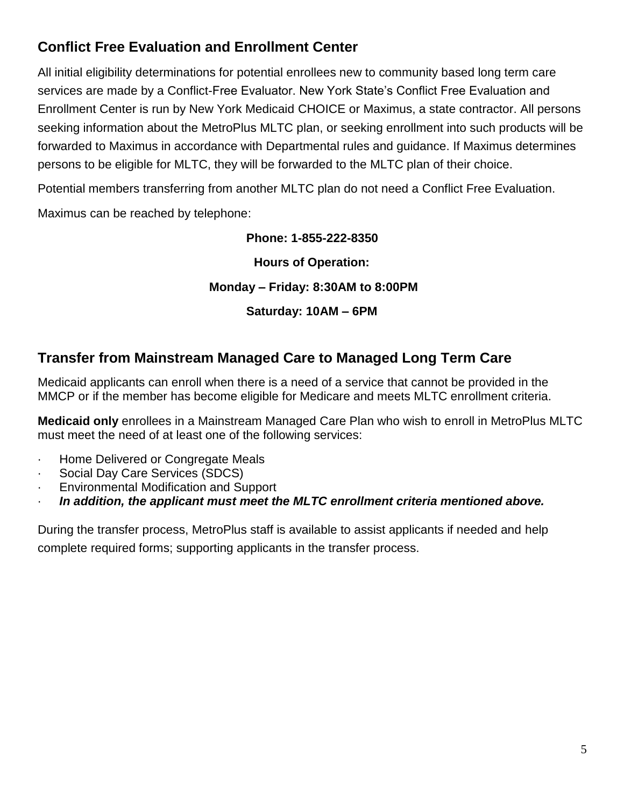#### **Conflict Free Evaluation and Enrollment Center**

All initial eligibility determinations for potential enrollees new to community based long term care services are made by a Conflict-Free Evaluator. New York State's Conflict Free Evaluation and Enrollment Center is run by New York Medicaid CHOICE or Maximus, a state contractor. All persons seeking information about the MetroPlus MLTC plan, or seeking enrollment into such products will be forwarded to Maximus in accordance with Departmental rules and guidance. If Maximus determines persons to be eligible for MLTC, they will be forwarded to the MLTC plan of their choice.

Potential members transferring from another MLTC plan do not need a Conflict Free Evaluation.

Maximus can be reached by telephone:

#### **Phone: 1-855-222-8350**

**Hours of Operation:**

#### **Monday – Friday: 8:30AM to 8:00PM**

**Saturday: 10AM – 6PM**

#### **Transfer from Mainstream Managed Care to Managed Long Term Care**

Medicaid applicants can enroll when there is a need of a service that cannot be provided in the MMCP or if the member has become eligible for Medicare and meets MLTC enrollment criteria.

**Medicaid only** enrollees in a Mainstream Managed Care Plan who wish to enroll in MetroPlus MLTC must meet the need of at least one of the following services:

- · Home Delivered or Congregate Meals
- Social Day Care Services (SDCS)
- · Environmental Modification and Support
- · *In addition, the applicant must meet the MLTC enrollment criteria mentioned above.*

During the transfer process, MetroPlus staff is available to assist applicants if needed and help complete required forms; supporting applicants in the transfer process.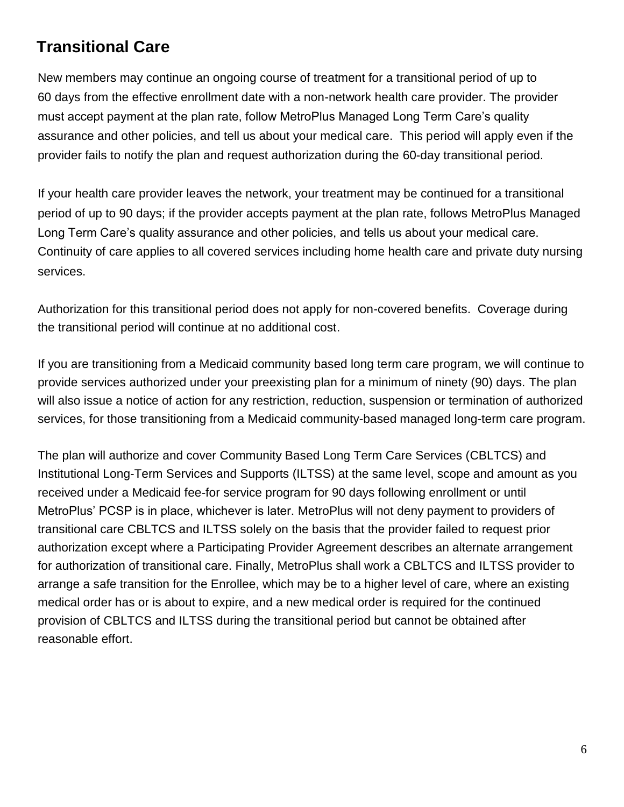#### **Transitional Care**

New members may continue an ongoing course of treatment for a transitional period of up to 60 days from the effective enrollment date with a non-network health care provider. The provider must accept payment at the plan rate, follow MetroPlus Managed Long Term Care's quality assurance and other policies, and tell us about your medical care. This period will apply even if the provider fails to notify the plan and request authorization during the 60-day transitional period.

If your health care provider leaves the network, your treatment may be continued for a transitional period of up to 90 days; if the provider accepts payment at the plan rate, follows MetroPlus Managed Long Term Care's quality assurance and other policies, and tells us about your medical care. Continuity of care applies to all covered services including home health care and private duty nursing services.

Authorization for this transitional period does not apply for non-covered benefits. Coverage during the transitional period will continue at no additional cost.

If you are transitioning from a Medicaid community based long term care program, we will continue to provide services authorized under your preexisting plan for a minimum of ninety (90) days. The plan will also issue a notice of action for any restriction, reduction, suspension or termination of authorized services, for those transitioning from a Medicaid community-based managed long-term care program.

The plan will authorize and cover Community Based Long Term Care Services (CBLTCS) and Institutional Long-Term Services and Supports (ILTSS) at the same level, scope and amount as you received under a Medicaid fee-for service program for 90 days following enrollment or until MetroPlus' PCSP is in place, whichever is later. MetroPlus will not deny payment to providers of transitional care CBLTCS and ILTSS solely on the basis that the provider failed to request prior authorization except where a Participating Provider Agreement describes an alternate arrangement for authorization of transitional care. Finally, MetroPlus shall work a CBLTCS and ILTSS provider to arrange a safe transition for the Enrollee, which may be to a higher level of care, where an existing medical order has or is about to expire, and a new medical order is required for the continued provision of CBLTCS and ILTSS during the transitional period but cannot be obtained after reasonable effort.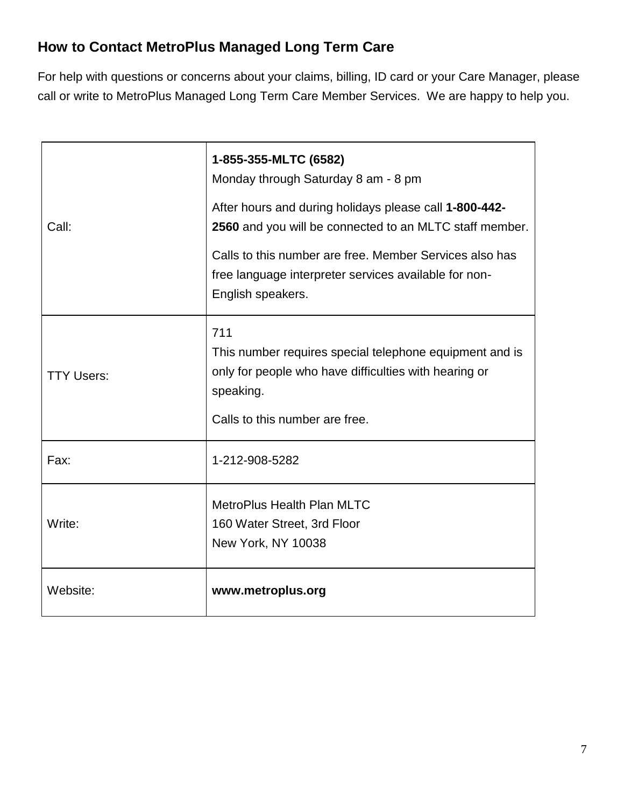#### **How to Contact MetroPlus Managed Long Term Care**

For help with questions or concerns about your claims, billing, ID card or your Care Manager, please call or write to MetroPlus Managed Long Term Care Member Services. We are happy to help you.

| Call:             | 1-855-355-MLTC (6582)<br>Monday through Saturday 8 am - 8 pm<br>After hours and during holidays please call 1-800-442-<br>2560 and you will be connected to an MLTC staff member.<br>Calls to this number are free. Member Services also has<br>free language interpreter services available for non-<br>English speakers. |
|-------------------|----------------------------------------------------------------------------------------------------------------------------------------------------------------------------------------------------------------------------------------------------------------------------------------------------------------------------|
| <b>TTY Users:</b> | 711<br>This number requires special telephone equipment and is<br>only for people who have difficulties with hearing or<br>speaking.<br>Calls to this number are free.                                                                                                                                                     |
| Fax:              | 1-212-908-5282                                                                                                                                                                                                                                                                                                             |
| Write:            | <b>MetroPlus Health Plan MLTC</b><br>160 Water Street, 3rd Floor<br>New York, NY 10038                                                                                                                                                                                                                                     |
| Website:          | www.metroplus.org                                                                                                                                                                                                                                                                                                          |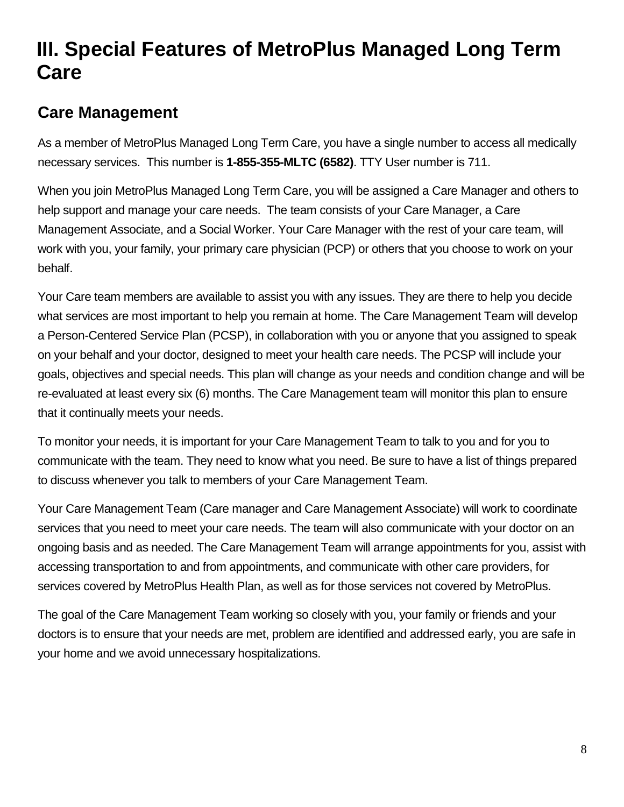# **III. Special Features of MetroPlus Managed Long Term Care**

## **Care Management**

As a member of MetroPlus Managed Long Term Care, you have a single number to access all medically necessary services. This number is **1-855-355-MLTC (6582)**. TTY User number is 711.

When you join MetroPlus Managed Long Term Care, you will be assigned a Care Manager and others to help support and manage your care needs. The team consists of your Care Manager, a Care Management Associate, and a Social Worker. Your Care Manager with the rest of your care team, will work with you, your family, your primary care physician (PCP) or others that you choose to work on your behalf.

Your Care team members are available to assist you with any issues. They are there to help you decide what services are most important to help you remain at home. The Care Management Team will develop a Person-Centered Service Plan (PCSP), in collaboration with you or anyone that you assigned to speak on your behalf and your doctor, designed to meet your health care needs. The PCSP will include your goals, objectives and special needs. This plan will change as your needs and condition change and will be re-evaluated at least every six (6) months. The Care Management team will monitor this plan to ensure that it continually meets your needs.

To monitor your needs, it is important for your Care Management Team to talk to you and for you to communicate with the team. They need to know what you need. Be sure to have a list of things prepared to discuss whenever you talk to members of your Care Management Team.

Your Care Management Team (Care manager and Care Management Associate) will work to coordinate services that you need to meet your care needs. The team will also communicate with your doctor on an ongoing basis and as needed. The Care Management Team will arrange appointments for you, assist with accessing transportation to and from appointments, and communicate with other care providers, for services covered by MetroPlus Health Plan, as well as for those services not covered by MetroPlus.

The goal of the Care Management Team working so closely with you, your family or friends and your doctors is to ensure that your needs are met, problem are identified and addressed early, you are safe in your home and we avoid unnecessary hospitalizations.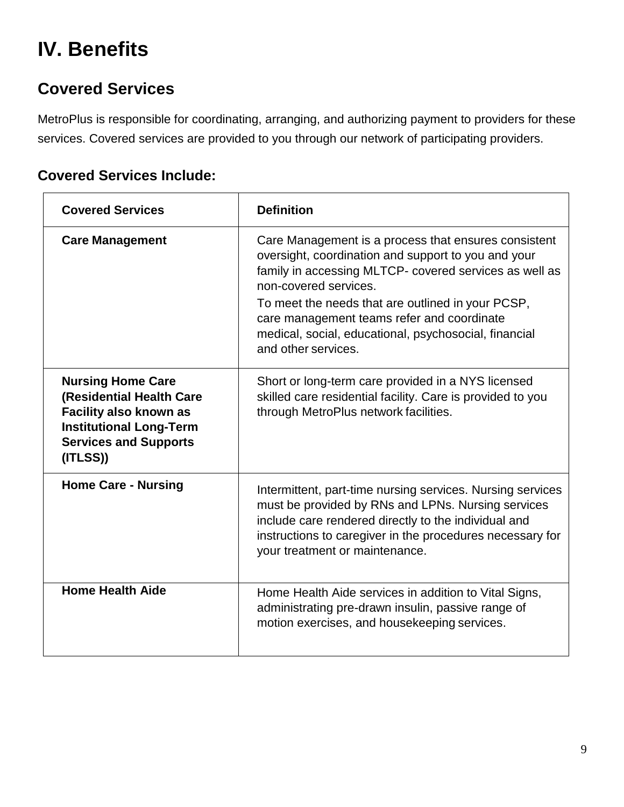# **IV. Benefits**

## **Covered Services**

MetroPlus is responsible for coordinating, arranging, and authorizing payment to providers for these services. Covered services are provided to you through our network of participating providers.

#### **Covered Services Include:**

| <b>Covered Services</b>                                                                                                                                            | <b>Definition</b>                                                                                                                                                                                                                                                                                                                                                                 |
|--------------------------------------------------------------------------------------------------------------------------------------------------------------------|-----------------------------------------------------------------------------------------------------------------------------------------------------------------------------------------------------------------------------------------------------------------------------------------------------------------------------------------------------------------------------------|
| <b>Care Management</b>                                                                                                                                             | Care Management is a process that ensures consistent<br>oversight, coordination and support to you and your<br>family in accessing MLTCP- covered services as well as<br>non-covered services.<br>To meet the needs that are outlined in your PCSP,<br>care management teams refer and coordinate<br>medical, social, educational, psychosocial, financial<br>and other services. |
| <b>Nursing Home Care</b><br>(Residential Health Care<br><b>Facility also known as</b><br><b>Institutional Long-Term</b><br><b>Services and Supports</b><br>(ITLSS) | Short or long-term care provided in a NYS licensed<br>skilled care residential facility. Care is provided to you<br>through MetroPlus network facilities.                                                                                                                                                                                                                         |
| <b>Home Care - Nursing</b>                                                                                                                                         | Intermittent, part-time nursing services. Nursing services<br>must be provided by RNs and LPNs. Nursing services<br>include care rendered directly to the individual and<br>instructions to caregiver in the procedures necessary for<br>your treatment or maintenance.                                                                                                           |
| <b>Home Health Aide</b>                                                                                                                                            | Home Health Aide services in addition to Vital Signs,<br>administrating pre-drawn insulin, passive range of<br>motion exercises, and housekeeping services.                                                                                                                                                                                                                       |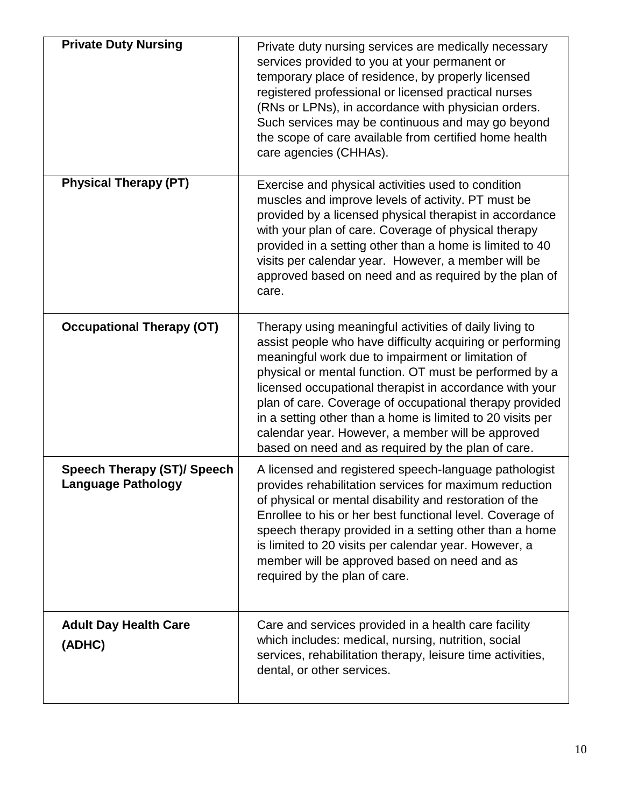| <b>Private Duty Nursing</b>                                     | Private duty nursing services are medically necessary<br>services provided to you at your permanent or<br>temporary place of residence, by properly licensed<br>registered professional or licensed practical nurses<br>(RNs or LPNs), in accordance with physician orders.<br>Such services may be continuous and may go beyond<br>the scope of care available from certified home health<br>care agencies (CHHAs).                                                                                                               |
|-----------------------------------------------------------------|------------------------------------------------------------------------------------------------------------------------------------------------------------------------------------------------------------------------------------------------------------------------------------------------------------------------------------------------------------------------------------------------------------------------------------------------------------------------------------------------------------------------------------|
| <b>Physical Therapy (PT)</b>                                    | Exercise and physical activities used to condition<br>muscles and improve levels of activity. PT must be<br>provided by a licensed physical therapist in accordance<br>with your plan of care. Coverage of physical therapy<br>provided in a setting other than a home is limited to 40<br>visits per calendar year. However, a member will be<br>approved based on need and as required by the plan of<br>care.                                                                                                                   |
| <b>Occupational Therapy (OT)</b>                                | Therapy using meaningful activities of daily living to<br>assist people who have difficulty acquiring or performing<br>meaningful work due to impairment or limitation of<br>physical or mental function. OT must be performed by a<br>licensed occupational therapist in accordance with your<br>plan of care. Coverage of occupational therapy provided<br>in a setting other than a home is limited to 20 visits per<br>calendar year. However, a member will be approved<br>based on need and as required by the plan of care. |
| <b>Speech Therapy (ST)/ Speech</b><br><b>Language Pathology</b> | A licensed and registered speech-language pathologist<br>provides rehabilitation services for maximum reduction<br>of physical or mental disability and restoration of the<br>Enrollee to his or her best functional level. Coverage of<br>speech therapy provided in a setting other than a home<br>is limited to 20 visits per calendar year. However, a<br>member will be approved based on need and as<br>required by the plan of care.                                                                                        |
| <b>Adult Day Health Care</b><br>(ADHC)                          | Care and services provided in a health care facility<br>which includes: medical, nursing, nutrition, social<br>services, rehabilitation therapy, leisure time activities,<br>dental, or other services.                                                                                                                                                                                                                                                                                                                            |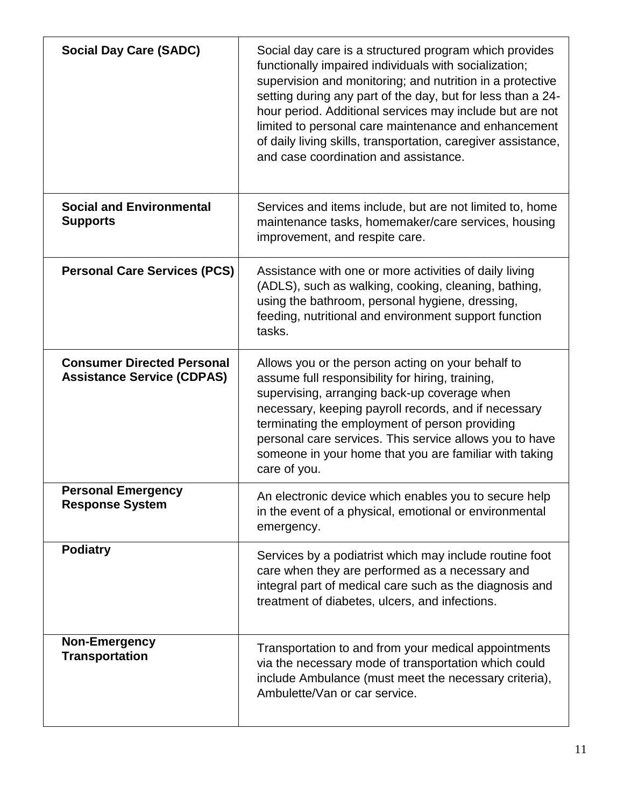| <b>Social Day Care (SADC)</b>                                          | Social day care is a structured program which provides<br>functionally impaired individuals with socialization;<br>supervision and monitoring; and nutrition in a protective<br>setting during any part of the day, but for less than a 24-<br>hour period. Additional services may include but are not<br>limited to personal care maintenance and enhancement<br>of daily living skills, transportation, caregiver assistance,<br>and case coordination and assistance. |
|------------------------------------------------------------------------|---------------------------------------------------------------------------------------------------------------------------------------------------------------------------------------------------------------------------------------------------------------------------------------------------------------------------------------------------------------------------------------------------------------------------------------------------------------------------|
| <b>Social and Environmental</b><br><b>Supports</b>                     | Services and items include, but are not limited to, home<br>maintenance tasks, homemaker/care services, housing<br>improvement, and respite care.                                                                                                                                                                                                                                                                                                                         |
| <b>Personal Care Services (PCS)</b>                                    | Assistance with one or more activities of daily living<br>(ADLS), such as walking, cooking, cleaning, bathing,<br>using the bathroom, personal hygiene, dressing,<br>feeding, nutritional and environment support function<br>tasks.                                                                                                                                                                                                                                      |
| <b>Consumer Directed Personal</b><br><b>Assistance Service (CDPAS)</b> | Allows you or the person acting on your behalf to<br>assume full responsibility for hiring, training,<br>supervising, arranging back-up coverage when<br>necessary, keeping payroll records, and if necessary<br>terminating the employment of person providing<br>personal care services. This service allows you to have<br>someone in your home that you are familiar with taking<br>care of you.                                                                      |
| <b>Personal Emergency</b><br><b>Response System</b>                    | An electronic device which enables you to secure help<br>in the event of a physical, emotional or environmental<br>emergency.                                                                                                                                                                                                                                                                                                                                             |
| <b>Podiatry</b>                                                        | Services by a podiatrist which may include routine foot<br>care when they are performed as a necessary and<br>integral part of medical care such as the diagnosis and<br>treatment of diabetes, ulcers, and infections.                                                                                                                                                                                                                                                   |
| <b>Non-Emergency</b><br><b>Transportation</b>                          | Transportation to and from your medical appointments<br>via the necessary mode of transportation which could<br>include Ambulance (must meet the necessary criteria),<br>Ambulette/Van or car service.                                                                                                                                                                                                                                                                    |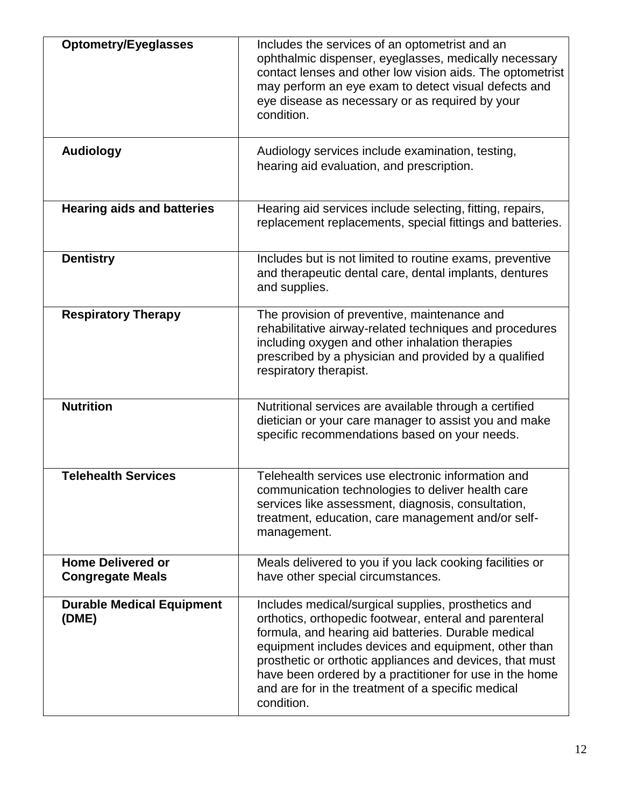| <b>Optometry/Eyeglasses</b>                         | Includes the services of an optometrist and an<br>ophthalmic dispenser, eyeglasses, medically necessary<br>contact lenses and other low vision aids. The optometrist<br>may perform an eye exam to detect visual defects and<br>eye disease as necessary or as required by your<br>condition.                                                                                                                           |
|-----------------------------------------------------|-------------------------------------------------------------------------------------------------------------------------------------------------------------------------------------------------------------------------------------------------------------------------------------------------------------------------------------------------------------------------------------------------------------------------|
| <b>Audiology</b>                                    | Audiology services include examination, testing,<br>hearing aid evaluation, and prescription.                                                                                                                                                                                                                                                                                                                           |
| <b>Hearing aids and batteries</b>                   | Hearing aid services include selecting, fitting, repairs,<br>replacement replacements, special fittings and batteries.                                                                                                                                                                                                                                                                                                  |
| <b>Dentistry</b>                                    | Includes but is not limited to routine exams, preventive<br>and therapeutic dental care, dental implants, dentures<br>and supplies.                                                                                                                                                                                                                                                                                     |
| <b>Respiratory Therapy</b>                          | The provision of preventive, maintenance and<br>rehabilitative airway-related techniques and procedures<br>including oxygen and other inhalation therapies<br>prescribed by a physician and provided by a qualified<br>respiratory therapist.                                                                                                                                                                           |
| <b>Nutrition</b>                                    | Nutritional services are available through a certified<br>dietician or your care manager to assist you and make<br>specific recommendations based on your needs.                                                                                                                                                                                                                                                        |
| <b>Telehealth Services</b>                          | Telehealth services use electronic information and<br>communication technologies to deliver health care<br>services like assessment, diagnosis, consultation,<br>treatment, education, care management and/or self-<br>management.                                                                                                                                                                                      |
| <b>Home Delivered or</b><br><b>Congregate Meals</b> | Meals delivered to you if you lack cooking facilities or<br>have other special circumstances.                                                                                                                                                                                                                                                                                                                           |
| <b>Durable Medical Equipment</b><br>(DME)           | Includes medical/surgical supplies, prosthetics and<br>orthotics, orthopedic footwear, enteral and parenteral<br>formula, and hearing aid batteries. Durable medical<br>equipment includes devices and equipment, other than<br>prosthetic or orthotic appliances and devices, that must<br>have been ordered by a practitioner for use in the home<br>and are for in the treatment of a specific medical<br>condition. |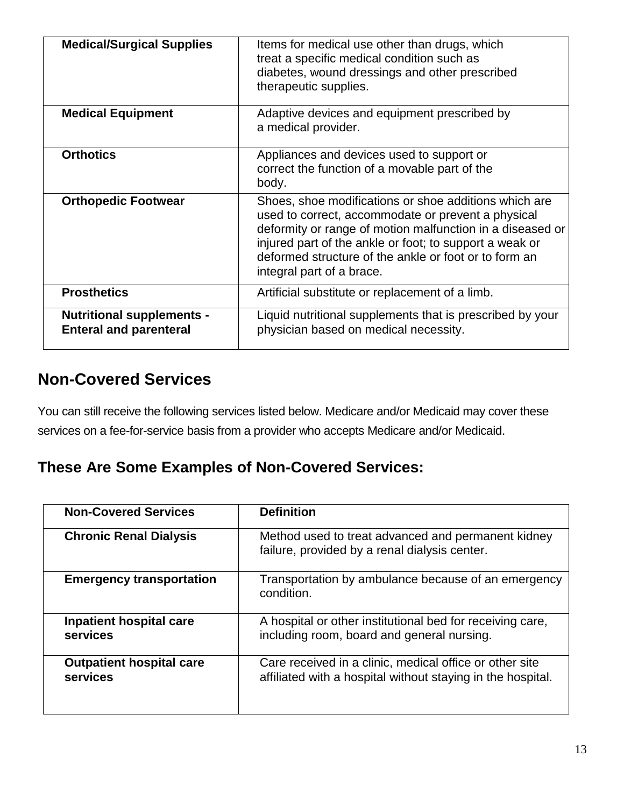| <b>Medical/Surgical Supplies</b>                                  | Items for medical use other than drugs, which<br>treat a specific medical condition such as<br>diabetes, wound dressings and other prescribed<br>therapeutic supplies.                                                                                                                                                    |
|-------------------------------------------------------------------|---------------------------------------------------------------------------------------------------------------------------------------------------------------------------------------------------------------------------------------------------------------------------------------------------------------------------|
| <b>Medical Equipment</b>                                          | Adaptive devices and equipment prescribed by<br>a medical provider.                                                                                                                                                                                                                                                       |
| <b>Orthotics</b>                                                  | Appliances and devices used to support or<br>correct the function of a movable part of the<br>body.                                                                                                                                                                                                                       |
| <b>Orthopedic Footwear</b>                                        | Shoes, shoe modifications or shoe additions which are<br>used to correct, accommodate or prevent a physical<br>deformity or range of motion malfunction in a diseased or<br>injured part of the ankle or foot; to support a weak or<br>deformed structure of the ankle or foot or to form an<br>integral part of a brace. |
| <b>Prosthetics</b>                                                | Artificial substitute or replacement of a limb.                                                                                                                                                                                                                                                                           |
| <b>Nutritional supplements -</b><br><b>Enteral and parenteral</b> | Liquid nutritional supplements that is prescribed by your<br>physician based on medical necessity.                                                                                                                                                                                                                        |

#### **Non-Covered Services**

You can still receive the following services listed below. Medicare and/or Medicaid may cover these services on a fee-for-service basis from a provider who accepts Medicare and/or Medicaid.

#### **These Are Some Examples of Non-Covered Services:**

| <b>Non-Covered Services</b>                 | <b>Definition</b>                                                                                                      |
|---------------------------------------------|------------------------------------------------------------------------------------------------------------------------|
| <b>Chronic Renal Dialysis</b>               | Method used to treat advanced and permanent kidney<br>failure, provided by a renal dialysis center.                    |
| <b>Emergency transportation</b>             | Transportation by ambulance because of an emergency<br>condition.                                                      |
| <b>Inpatient hospital care</b><br>services  | A hospital or other institutional bed for receiving care,<br>including room, board and general nursing.                |
| <b>Outpatient hospital care</b><br>services | Care received in a clinic, medical office or other site<br>affiliated with a hospital without staying in the hospital. |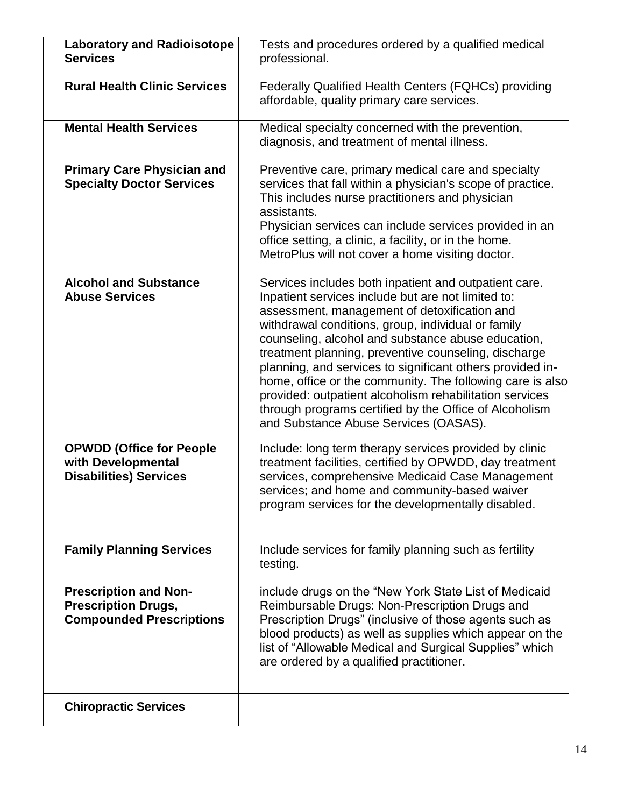| <b>Laboratory and Radioisotope</b><br><b>Services</b>                                         | Tests and procedures ordered by a qualified medical<br>professional.                                                                                                                                                                                                                                                                                                                                                                                                                                                                                                                                                    |
|-----------------------------------------------------------------------------------------------|-------------------------------------------------------------------------------------------------------------------------------------------------------------------------------------------------------------------------------------------------------------------------------------------------------------------------------------------------------------------------------------------------------------------------------------------------------------------------------------------------------------------------------------------------------------------------------------------------------------------------|
| <b>Rural Health Clinic Services</b>                                                           | <b>Federally Qualified Health Centers (FQHCs) providing</b><br>affordable, quality primary care services.                                                                                                                                                                                                                                                                                                                                                                                                                                                                                                               |
| <b>Mental Health Services</b>                                                                 | Medical specialty concerned with the prevention,<br>diagnosis, and treatment of mental illness.                                                                                                                                                                                                                                                                                                                                                                                                                                                                                                                         |
| <b>Primary Care Physician and</b><br><b>Specialty Doctor Services</b>                         | Preventive care, primary medical care and specialty<br>services that fall within a physician's scope of practice.<br>This includes nurse practitioners and physician<br>assistants.<br>Physician services can include services provided in an<br>office setting, a clinic, a facility, or in the home.<br>MetroPlus will not cover a home visiting doctor.                                                                                                                                                                                                                                                              |
| <b>Alcohol and Substance</b><br><b>Abuse Services</b>                                         | Services includes both inpatient and outpatient care.<br>Inpatient services include but are not limited to:<br>assessment, management of detoxification and<br>withdrawal conditions, group, individual or family<br>counseling, alcohol and substance abuse education,<br>treatment planning, preventive counseling, discharge<br>planning, and services to significant others provided in-<br>home, office or the community. The following care is also<br>provided: outpatient alcoholism rehabilitation services<br>through programs certified by the Office of Alcoholism<br>and Substance Abuse Services (OASAS). |
| <b>OPWDD (Office for People</b><br>with Developmental<br><b>Disabilities) Services</b>        | Include: long term therapy services provided by clinic<br>treatment facilities, certified by OPWDD, day treatment<br>services, comprehensive Medicaid Case Management<br>services; and home and community-based waiver<br>program services for the developmentally disabled.                                                                                                                                                                                                                                                                                                                                            |
| <b>Family Planning Services</b>                                                               | Include services for family planning such as fertility<br>testing.                                                                                                                                                                                                                                                                                                                                                                                                                                                                                                                                                      |
| <b>Prescription and Non-</b><br><b>Prescription Drugs,</b><br><b>Compounded Prescriptions</b> | include drugs on the "New York State List of Medicaid<br>Reimbursable Drugs: Non-Prescription Drugs and<br>Prescription Drugs" (inclusive of those agents such as<br>blood products) as well as supplies which appear on the<br>list of "Allowable Medical and Surgical Supplies" which<br>are ordered by a qualified practitioner.                                                                                                                                                                                                                                                                                     |
| <b>Chiropractic Services</b>                                                                  |                                                                                                                                                                                                                                                                                                                                                                                                                                                                                                                                                                                                                         |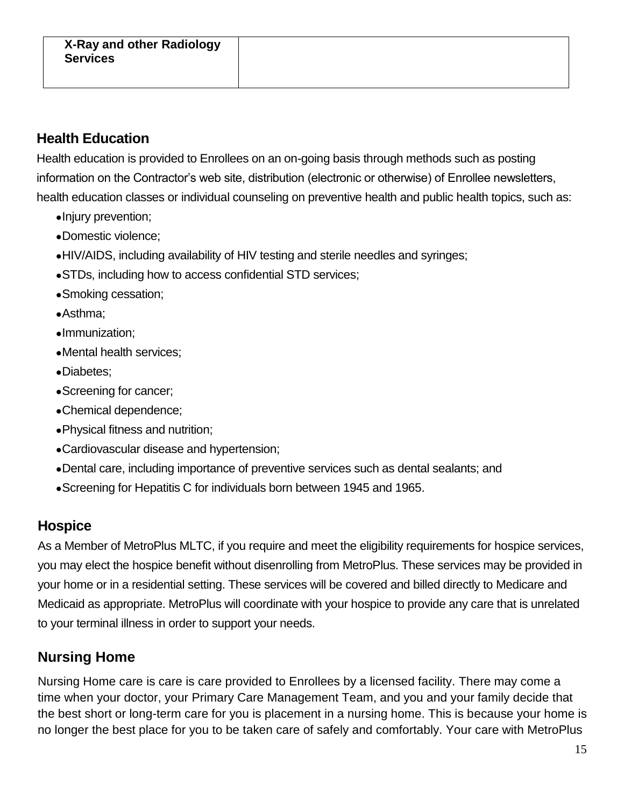#### **Health Education**

Health education is provided to Enrollees on an on-going basis through methods such as posting information on the Contractor's web site, distribution (electronic or otherwise) of Enrollee newsletters, health education classes or individual counseling on preventive health and public health topics, such as:

- •Injury prevention;
- •Domestic violence;
- •HIV/AIDS, including availability of HIV testing and sterile needles and syringes;
- •STDs, including how to access confidential STD services;
- •Smoking cessation;
- •Asthma;
- •Immunization;
- •Mental health services;
- •Diabetes;
- •Screening for cancer;
- •Chemical dependence;
- •Physical fitness and nutrition;
- •Cardiovascular disease and hypertension;
- •Dental care, including importance of preventive services such as dental sealants; and
- •Screening for Hepatitis C for individuals born between 1945 and 1965.

#### **Hospice**

As a Member of MetroPlus MLTC, if you require and meet the eligibility requirements for hospice services, you may elect the hospice benefit without disenrolling from MetroPlus. These services may be provided in your home or in a residential setting. These services will be covered and billed directly to Medicare and Medicaid as appropriate. MetroPlus will coordinate with your hospice to provide any care that is unrelated to your terminal illness in order to support your needs.

#### **Nursing Home**

Nursing Home care is care is care provided to Enrollees by a licensed facility. There may come a time when your doctor, your Primary Care Management Team, and you and your family decide that the best short or long-term care for you is placement in a nursing home. This is because your home is no longer the best place for you to be taken care of safely and comfortably. Your care with MetroPlus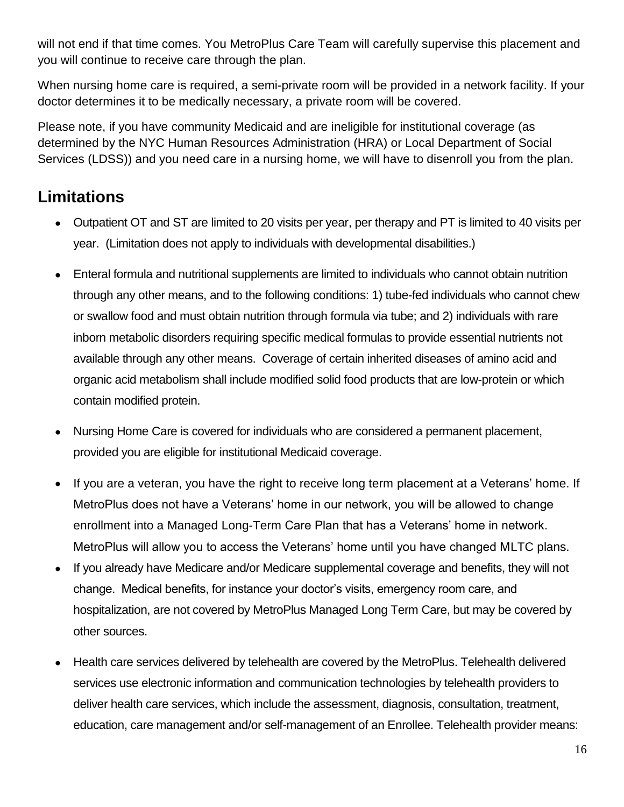will not end if that time comes. You MetroPlus Care Team will carefully supervise this placement and you will continue to receive care through the plan.

When nursing home care is required, a semi-private room will be provided in a network facility. If your doctor determines it to be medically necessary, a private room will be covered.

Please note, if you have community Medicaid and are ineligible for institutional coverage (as determined by the NYC Human Resources Administration (HRA) or Local Department of Social Services (LDSS)) and you need care in a nursing home, we will have to disenroll you from the plan.

## **Limitations**

- Outpatient OT and ST are limited to 20 visits per year, per therapy and PT is limited to 40 visits per year. (Limitation does not apply to individuals with developmental disabilities.)
- Enteral formula and nutritional supplements are limited to individuals who cannot obtain nutrition through any other means, and to the following conditions: 1) tube-fed individuals who cannot chew or swallow food and must obtain nutrition through formula via tube; and 2) individuals with rare inborn metabolic disorders requiring specific medical formulas to provide essential nutrients not available through any other means. Coverage of certain inherited diseases of amino acid and organic acid metabolism shall include modified solid food products that are low-protein or which contain modified protein.
- Nursing Home Care is covered for individuals who are considered a permanent placement, provided you are eligible for institutional Medicaid coverage.
- If you are a veteran, you have the right to receive long term placement at a Veterans' home. If MetroPlus does not have a Veterans' home in our network, you will be allowed to change enrollment into a Managed Long-Term Care Plan that has a Veterans' home in network. MetroPlus will allow you to access the Veterans' home until you have changed MLTC plans.
- If you already have Medicare and/or Medicare supplemental coverage and benefits, they will not change. Medical benefits, for instance your doctor's visits, emergency room care, and hospitalization, are not covered by MetroPlus Managed Long Term Care, but may be covered by other sources.
- Health care services delivered by telehealth are covered by the MetroPlus. Telehealth delivered services use electronic information and communication technologies by telehealth providers to deliver health care services, which include the assessment, diagnosis, consultation, treatment, education, care management and/or self-management of an Enrollee. Telehealth provider means: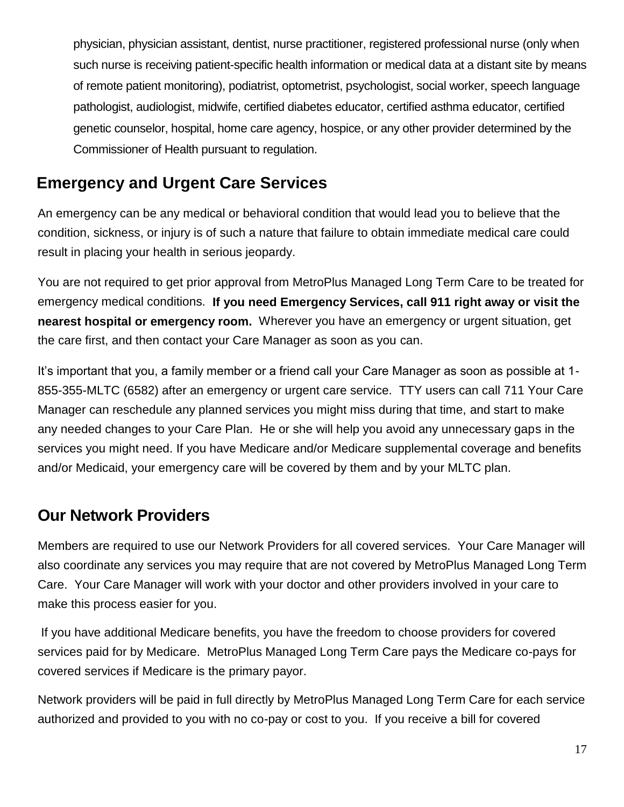physician, physician assistant, dentist, nurse practitioner, registered professional nurse (only when such nurse is receiving patient-specific health information or medical data at a distant site by means of remote patient monitoring), podiatrist, optometrist, psychologist, social worker, speech language pathologist, audiologist, midwife, certified diabetes educator, certified asthma educator, certified genetic counselor, hospital, home care agency, hospice, or any other provider determined by the Commissioner of Health pursuant to regulation.

#### **Emergency and Urgent Care Services**

An emergency can be any medical or behavioral condition that would lead you to believe that the condition, sickness, or injury is of such a nature that failure to obtain immediate medical care could result in placing your health in serious jeopardy.

You are not required to get prior approval from MetroPlus Managed Long Term Care to be treated for emergency medical conditions. **If you need Emergency Services, call 911 right away or visit the nearest hospital or emergency room.** Wherever you have an emergency or urgent situation, get the care first, and then contact your Care Manager as soon as you can.

It's important that you, a family member or a friend call your Care Manager as soon as possible at 1- 855-355-MLTC (6582) after an emergency or urgent care service. TTY users can call 711 Your Care Manager can reschedule any planned services you might miss during that time, and start to make any needed changes to your Care Plan. He or she will help you avoid any unnecessary gaps in the services you might need. If you have Medicare and/or Medicare supplemental coverage and benefits and/or Medicaid, your emergency care will be covered by them and by your MLTC plan.

#### **Our Network Providers**

Members are required to use our Network Providers for all covered services. Your Care Manager will also coordinate any services you may require that are not covered by MetroPlus Managed Long Term Care. Your Care Manager will work with your doctor and other providers involved in your care to make this process easier for you.

If you have additional Medicare benefits, you have the freedom to choose providers for covered services paid for by Medicare. MetroPlus Managed Long Term Care pays the Medicare co-pays for covered services if Medicare is the primary payor.

Network providers will be paid in full directly by MetroPlus Managed Long Term Care for each service authorized and provided to you with no co-pay or cost to you. If you receive a bill for covered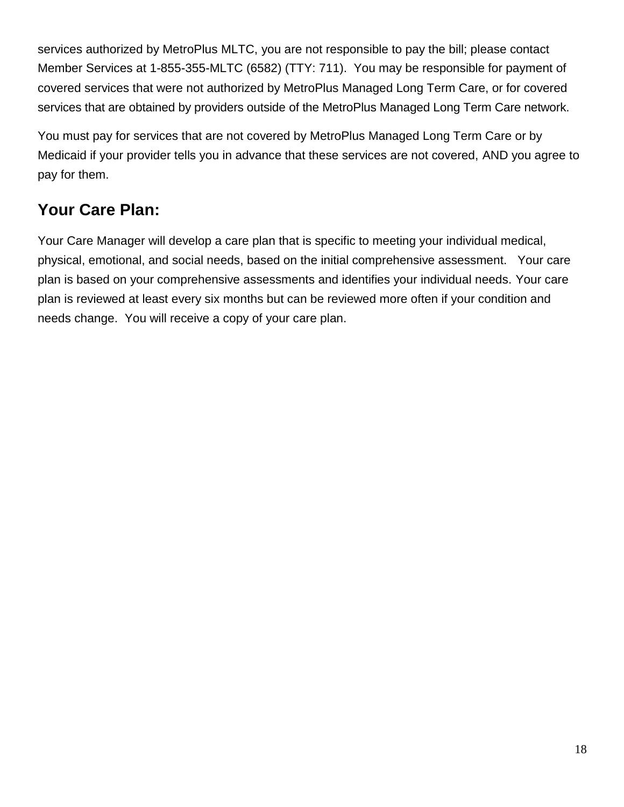services authorized by MetroPlus MLTC, you are not responsible to pay the bill; please contact Member Services at 1-855-355-MLTC (6582) (TTY: 711). You may be responsible for payment of covered services that were not authorized by MetroPlus Managed Long Term Care, or for covered services that are obtained by providers outside of the MetroPlus Managed Long Term Care network.

You must pay for services that are not covered by MetroPlus Managed Long Term Care or by Medicaid if your provider tells you in advance that these services are not covered, AND you agree to pay for them.

## **Your Care Plan:**

Your Care Manager will develop a care plan that is specific to meeting your individual medical, physical, emotional, and social needs, based on the initial comprehensive assessment. Your care plan is based on your comprehensive assessments and identifies your individual needs. Your care plan is reviewed at least every six months but can be reviewed more often if your condition and needs change. You will receive a copy of your care plan.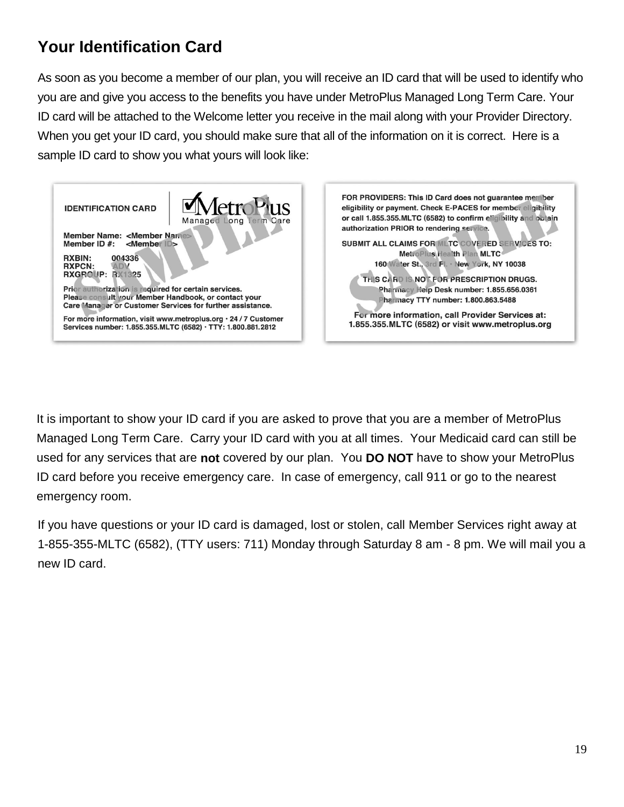## **Your Identification Card**

As soon as you become a member of our plan, you will receive an ID card that will be used to identify who you are and give you access to the benefits you have under MetroPlus Managed Long Term Care. Your ID card will be attached to the Welcome letter you receive in the mail along with your Provider Directory. When you get your ID card, you should make sure that all of the information on it is correct. Here is a sample ID card to show you what yours will look like:



It is important to show your ID card if you are asked to prove that you are a member of MetroPlus Managed Long Term Care. Carry your ID card with you at all times. Your Medicaid card can still be used for any services that are **not** covered by our plan. You **DO NOT** have to show your MetroPlus ID card before you receive emergency care. In case of emergency, call 911 or go to the nearest emergency room.

If you have questions or your ID card is damaged, lost or stolen, call Member Services right away at 1-855-355-MLTC (6582), (TTY users: 711) Monday through Saturday 8 am - 8 pm. We will mail you a new ID card.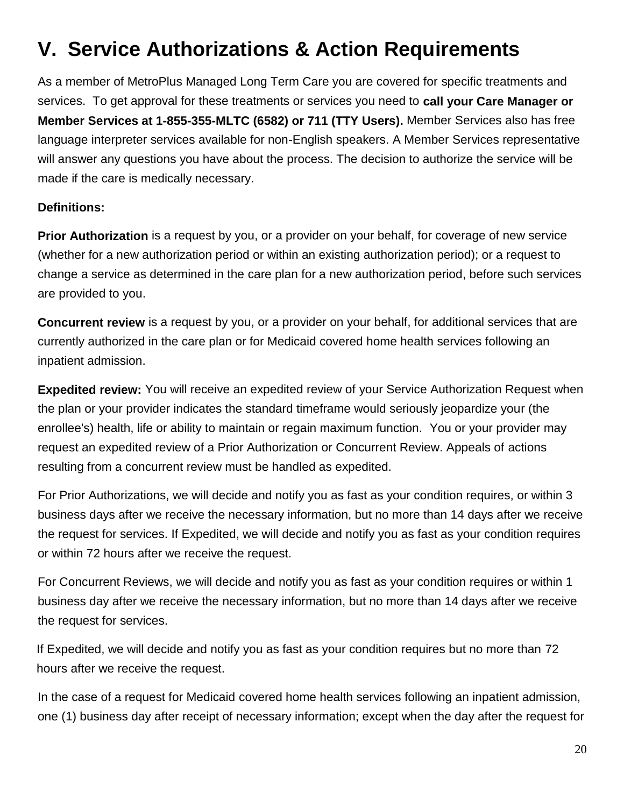# **V. Service Authorizations & Action Requirements**

As a member of MetroPlus Managed Long Term Care you are covered for specific treatments and services. To get approval for these treatments or services you need to **call your Care Manager or Member Services at 1-855-355-MLTC (6582) or 711 (TTY Users).** Member Services also has free language interpreter services available for non-English speakers. A Member Services representative will answer any questions you have about the process. The decision to authorize the service will be made if the care is medically necessary.

#### **Definitions:**

**Prior Authorization** is a request by you, or a provider on your behalf, for coverage of new service (whether for a new authorization period or within an existing authorization period); or a request to change a service as determined in the care plan for a new authorization period, before such services are provided to you.

**Concurrent review** is a request by you, or a provider on your behalf, for additional services that are currently authorized in the care plan or for Medicaid covered home health services following an inpatient admission.

**Expedited review:** You will receive an expedited review of your Service Authorization Request when the plan or your provider indicates the standard timeframe would seriously jeopardize your (the enrollee's) health, life or ability to maintain or regain maximum function. You or your provider may request an expedited review of a Prior Authorization or Concurrent Review. Appeals of actions resulting from a concurrent review must be handled as expedited.

For Prior Authorizations, we will decide and notify you as fast as your condition requires, or within 3 business days after we receive the necessary information, but no more than 14 days after we receive the request for services. If Expedited, we will decide and notify you as fast as your condition requires or within 72 hours after we receive the request.

For Concurrent Reviews, we will decide and notify you as fast as your condition requires or within 1 business day after we receive the necessary information, but no more than 14 days after we receive the request for services.

If Expedited, we will decide and notify you as fast as your condition requires but no more than 72 hours after we receive the request.

In the case of a request for Medicaid covered home health services following an inpatient admission, one (1) business day after receipt of necessary information; except when the day after the request for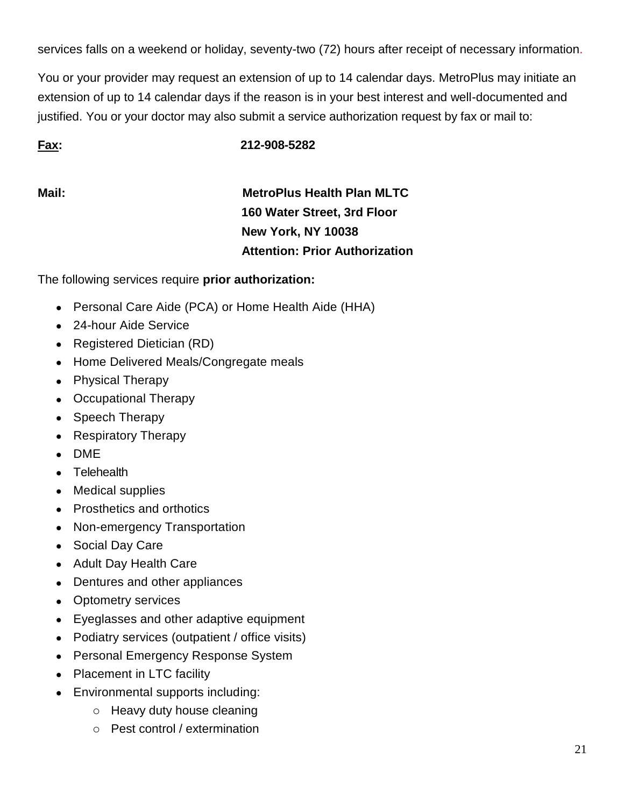services falls on a weekend or holiday, seventy-two (72) hours after receipt of necessary information.

You or your provider may request an extension of up to 14 calendar days. MetroPlus may initiate an extension of up to 14 calendar days if the reason is in your best interest and well-documented and justified. You or your doctor may also submit a service authorization request by fax or mail to:

**Fax: 212-908-5282**

**Mail: MetroPlus Health Plan MLTC 160 Water Street, 3rd Floor New York, NY 10038 Attention: Prior Authorization**

The following services require **prior authorization:**

- Personal Care Aide (PCA) or Home Health Aide (HHA)
- 24-hour Aide Service
- Registered Dietician (RD)
- Home Delivered Meals/Congregate meals
- Physical Therapy
- Occupational Therapy
- Speech Therapy
- Respiratory Therapy
- DME
- Telehealth
- Medical supplies
- Prosthetics and orthotics
- Non-emergency Transportation
- Social Day Care
- Adult Day Health Care
- Dentures and other appliances
- Optometry services
- Eyeglasses and other adaptive equipment
- Podiatry services (outpatient / office visits)
- Personal Emergency Response System
- Placement in LTC facility
- Environmental supports including:
	- o Heavy duty house cleaning
	- o Pest control / extermination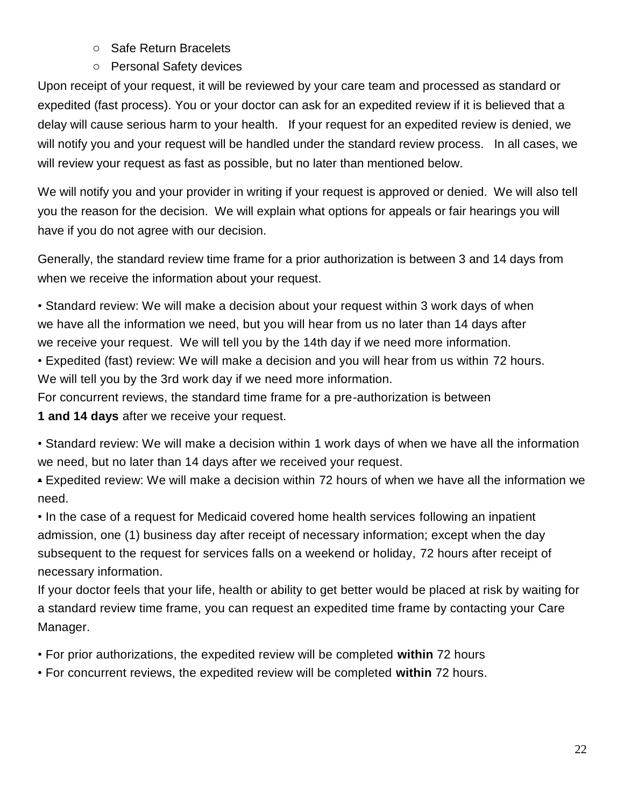- o Safe Return Bracelets
- o Personal Safety devices

Upon receipt of your request, it will be reviewed by your care team and processed as standard or expedited (fast process). You or your doctor can ask for an expedited review if it is believed that a delay will cause serious harm to your health. If your request for an expedited review is denied, we will notify you and your request will be handled under the standard review process. In all cases, we will review your request as fast as possible, but no later than mentioned below.

We will notify you and your provider in writing if your request is approved or denied. We will also tell you the reason for the decision. We will explain what options for appeals or fair hearings you will have if you do not agree with our decision.

Generally, the standard review time frame for a prior authorization is between 3 and 14 days from when we receive the information about your request.

• Standard review: We will make a decision about your request within 3 work days of when we have all the information we need, but you will hear from us no later than 14 days after we receive your request. We will tell you by the 14th day if we need more information.

• Expedited (fast) review: We will make a decision and you will hear from us within 72 hours. We will tell you by the 3rd work day if we need more information.

For concurrent reviews, the standard time frame for a pre-authorization is between **1 and 14 days** after we receive your request.

• Standard review: We will make a decision within 1 work days of when we have all the information we need, but no later than 14 days after we received your request.

• Expedited review: We will make a decision within 72 hours of when we have all the information we need.

• In the case of a request for Medicaid covered home health services following an inpatient admission, one (1) business day after receipt of necessary information; except when the day subsequent to the request for services falls on a weekend or holiday, 72 hours after receipt of necessary information.

If your doctor feels that your life, health or ability to get better would be placed at risk by waiting for a standard review time frame, you can request an expedited time frame by contacting your Care Manager.

• For prior authorizations, the expedited review will be completed **within** 72 hours

• For concurrent reviews, the expedited review will be completed **within** 72 hours.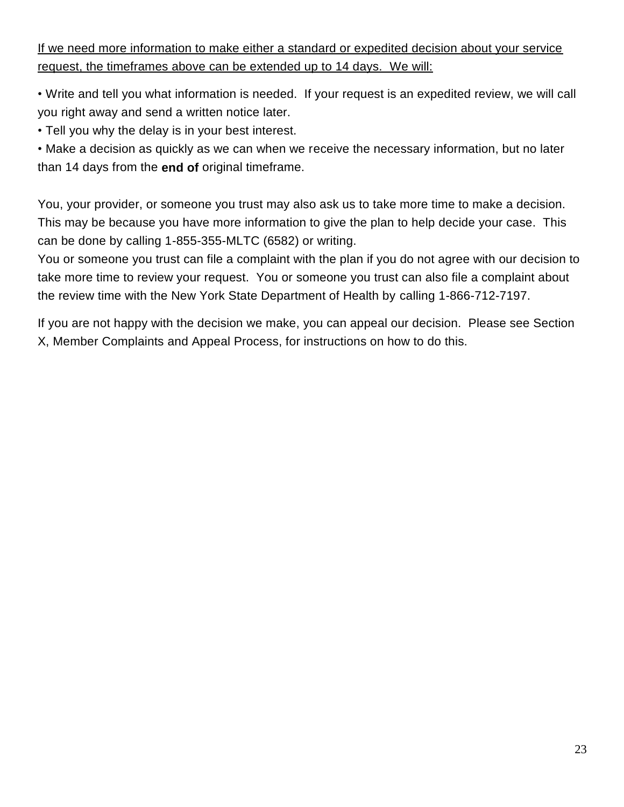If we need more information to make either a standard or expedited decision about your service request, the timeframes above can be extended up to 14 days. We will:

• Write and tell you what information is needed. If your request is an expedited review, we will call you right away and send a written notice later.

• Tell you why the delay is in your best interest.

• Make a decision as quickly as we can when we receive the necessary information, but no later than 14 days from the **end of** original timeframe.

You, your provider, or someone you trust may also ask us to take more time to make a decision. This may be because you have more information to give the plan to help decide your case. This can be done by calling 1-855-355-MLTC (6582) or writing.

You or someone you trust can file a complaint with the plan if you do not agree with our decision to take more time to review your request. You or someone you trust can also file a complaint about the review time with the New York State Department of Health by calling 1-866-712-7197.

If you are not happy with the decision we make, you can appeal our decision. Please see Section X, Member Complaints and Appeal Process, for instructions on how to do this.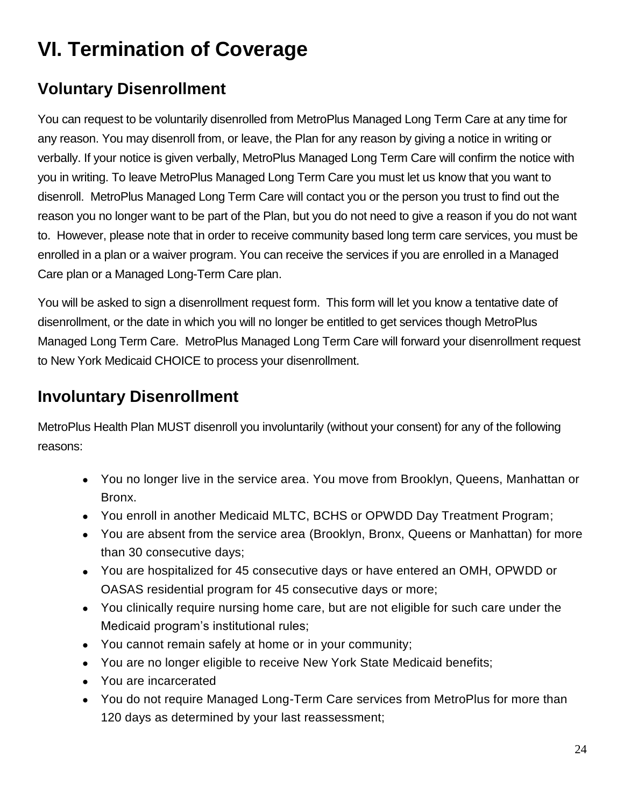# **VI. Termination of Coverage**

## **Voluntary Disenrollment**

You can request to be voluntarily disenrolled from MetroPlus Managed Long Term Care at any time for any reason. You may disenroll from, or leave, the Plan for any reason by giving a notice in writing or verbally. If your notice is given verbally, MetroPlus Managed Long Term Care will confirm the notice with you in writing. To leave MetroPlus Managed Long Term Care you must let us know that you want to disenroll. MetroPlus Managed Long Term Care will contact you or the person you trust to find out the reason you no longer want to be part of the Plan, but you do not need to give a reason if you do not want to. However, please note that in order to receive community based long term care services, you must be enrolled in a plan or a waiver program. You can receive the services if you are enrolled in a Managed Care plan or a Managed Long-Term Care plan.

You will be asked to sign a disenrollment request form. This form will let you know a tentative date of disenrollment, or the date in which you will no longer be entitled to get services though MetroPlus Managed Long Term Care. MetroPlus Managed Long Term Care will forward your disenrollment request to New York Medicaid CHOICE to process your disenrollment.

#### **Involuntary Disenrollment**

MetroPlus Health Plan MUST disenroll you involuntarily (without your consent) for any of the following reasons:

- You no longer live in the service area. You move from Brooklyn, Queens, Manhattan or Bronx.
- You enroll in another Medicaid MLTC, BCHS or OPWDD Day Treatment Program;
- You are absent from the service area (Brooklyn, Bronx, Queens or Manhattan) for more than 30 consecutive days;
- You are hospitalized for 45 consecutive days or have entered an OMH, OPWDD or OASAS residential program for 45 consecutive days or more;
- You clinically require nursing home care, but are not eligible for such care under the Medicaid program's institutional rules;
- You cannot remain safely at home or in your community;
- You are no longer eligible to receive New York State Medicaid benefits;
- You are incarcerated
- You do not require Managed Long-Term Care services from MetroPlus for more than 120 days as determined by your last reassessment;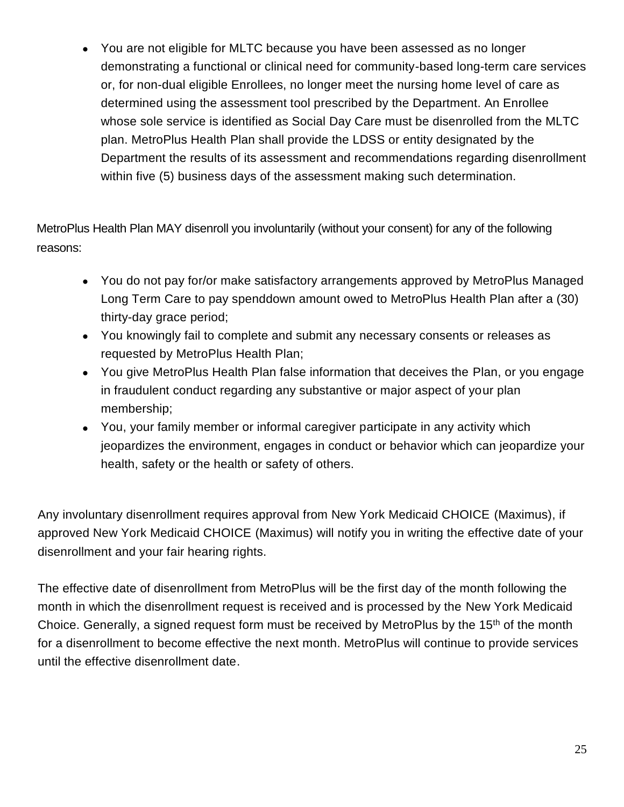• You are not eligible for MLTC because you have been assessed as no longer demonstrating a functional or clinical need for community-based long-term care services or, for non-dual eligible Enrollees, no longer meet the nursing home level of care as determined using the assessment tool prescribed by the Department. An Enrollee whose sole service is identified as Social Day Care must be disenrolled from the MLTC plan. MetroPlus Health Plan shall provide the LDSS or entity designated by the Department the results of its assessment and recommendations regarding disenrollment within five (5) business days of the assessment making such determination.

MetroPlus Health Plan MAY disenroll you involuntarily (without your consent) for any of the following reasons:

- You do not pay for/or make satisfactory arrangements approved by MetroPlus Managed Long Term Care to pay spenddown amount owed to MetroPlus Health Plan after a (30) thirty-day grace period;
- You knowingly fail to complete and submit any necessary consents or releases as requested by MetroPlus Health Plan;
- You give MetroPlus Health Plan false information that deceives the Plan, or you engage in fraudulent conduct regarding any substantive or major aspect of your plan membership;
- You, your family member or informal caregiver participate in any activity which jeopardizes the environment, engages in conduct or behavior which can jeopardize your health, safety or the health or safety of others.

Any involuntary disenrollment requires approval from New York Medicaid CHOICE (Maximus), if approved New York Medicaid CHOICE (Maximus) will notify you in writing the effective date of your disenrollment and your fair hearing rights.

The effective date of disenrollment from MetroPlus will be the first day of the month following the month in which the disenrollment request is received and is processed by the New York Medicaid Choice. Generally, a signed request form must be received by MetroPlus by the 15<sup>th</sup> of the month for a disenrollment to become effective the next month. MetroPlus will continue to provide services until the effective disenrollment date.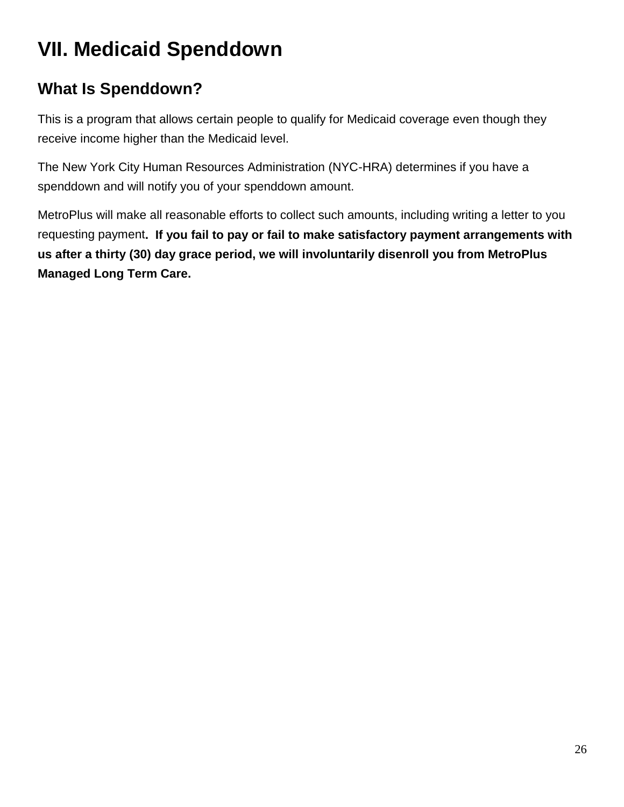# **VII. Medicaid Spenddown**

## **What Is Spenddown?**

This is a program that allows certain people to qualify for Medicaid coverage even though they receive income higher than the Medicaid level.

The New York City Human Resources Administration (NYC-HRA) determines if you have a spenddown and will notify you of your spenddown amount.

MetroPlus will make all reasonable efforts to collect such amounts, including writing a letter to you requesting payment**. If you fail to pay or fail to make satisfactory payment arrangements with us after a thirty (30) day grace period, we will involuntarily disenroll you from MetroPlus Managed Long Term Care.**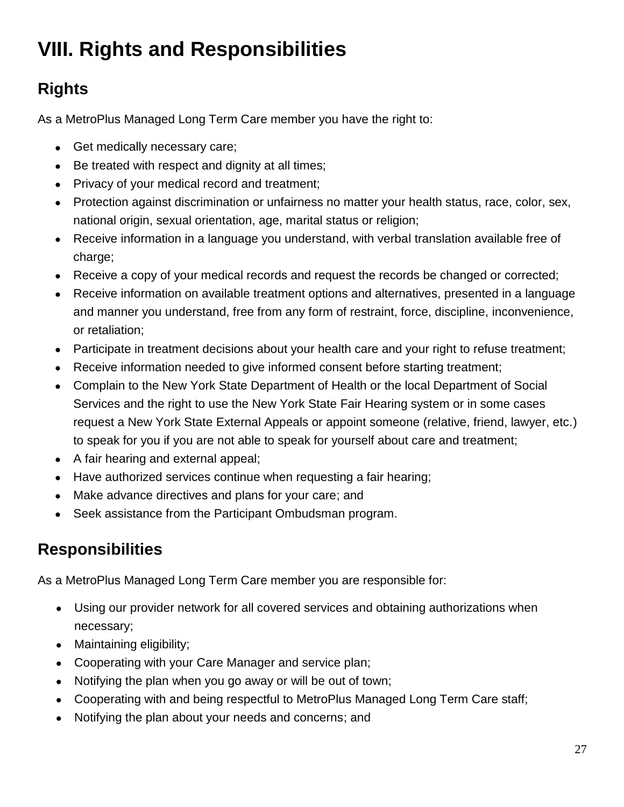# **VIII. Rights and Responsibilities**

## **Rights**

As a MetroPlus Managed Long Term Care member you have the right to:

- Get medically necessary care;
- Be treated with respect and dignity at all times;
- Privacy of your medical record and treatment;
- Protection against discrimination or unfairness no matter your health status, race, color, sex, national origin, sexual orientation, age, marital status or religion;
- Receive information in a language you understand, with verbal translation available free of charge;
- Receive a copy of your medical records and request the records be changed or corrected;
- Receive information on available treatment options and alternatives, presented in a language and manner you understand, free from any form of restraint, force, discipline, inconvenience, or retaliation;
- Participate in treatment decisions about your health care and your right to refuse treatment;
- Receive information needed to give informed consent before starting treatment;
- Complain to the New York State Department of Health or the local Department of Social Services and the right to use the New York State Fair Hearing system or in some cases request a New York State External Appeals or appoint someone (relative, friend, lawyer, etc.) to speak for you if you are not able to speak for yourself about care and treatment;
- A fair hearing and external appeal;
- Have authorized services continue when requesting a fair hearing;
- Make advance directives and plans for your care; and
- Seek assistance from the Participant Ombudsman program.

## **Responsibilities**

As a MetroPlus Managed Long Term Care member you are responsible for:

- Using our provider network for all covered services and obtaining authorizations when necessary;
- Maintaining eligibility;
- Cooperating with your Care Manager and service plan;
- Notifying the plan when you go away or will be out of town;
- Cooperating with and being respectful to MetroPlus Managed Long Term Care staff;
- Notifying the plan about your needs and concerns; and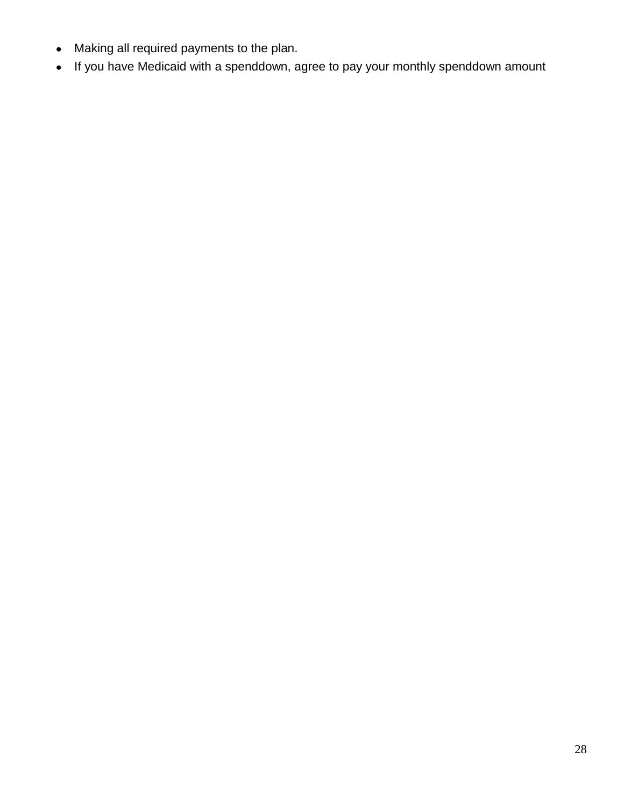- Making all required payments to the plan.
- If you have Medicaid with a spenddown, agree to pay your monthly spenddown amount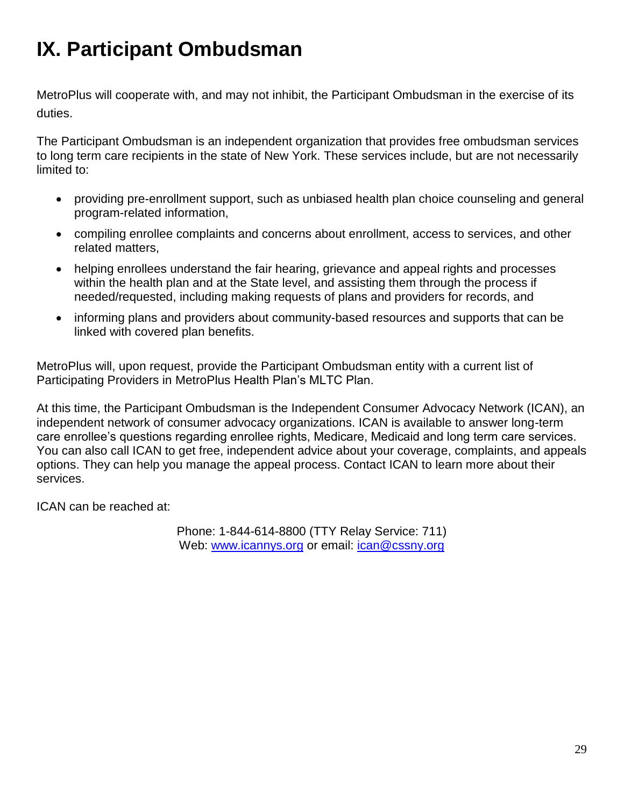# **IX. Participant Ombudsman**

MetroPlus will cooperate with, and may not inhibit, the Participant Ombudsman in the exercise of its duties.

The Participant Ombudsman is an independent organization that provides free ombudsman services to long term care recipients in the state of New York. These services include, but are not necessarily limited to:

- providing pre-enrollment support, such as unbiased health plan choice counseling and general program-related information,
- compiling enrollee complaints and concerns about enrollment, access to services, and other related matters,
- helping enrollees understand the fair hearing, grievance and appeal rights and processes within the health plan and at the State level, and assisting them through the process if needed/requested, including making requests of plans and providers for records, and
- informing plans and providers about community-based resources and supports that can be linked with covered plan benefits.

MetroPlus will, upon request, provide the Participant Ombudsman entity with a current list of Participating Providers in MetroPlus Health Plan's MLTC Plan.

At this time, the Participant Ombudsman is the Independent Consumer Advocacy Network (ICAN), an independent network of consumer advocacy organizations. ICAN is available to answer long-term care enrollee's questions regarding enrollee rights, Medicare, Medicaid and long term care services. You can also call ICAN to get free, independent advice about your coverage, complaints, and appeals options. They can help you manage the appeal process. Contact ICAN to learn more about their services.

ICAN can be reached at:

Phone: 1-844-614-8800 (TTY Relay Service: 711) Web: [www.icannys.org](http://www.icannys.org/) or email: [ican@cssny.org](mailto:ican@cssny.org)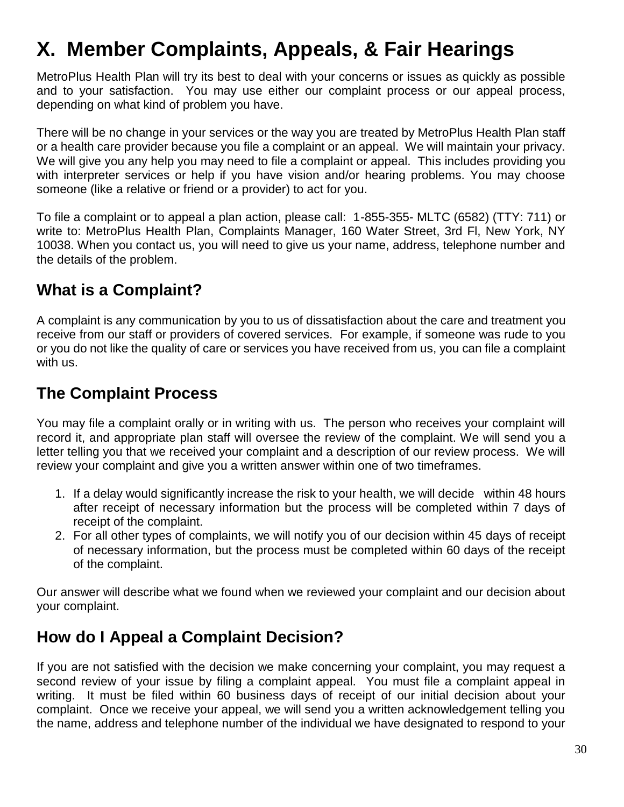# **X. Member Complaints, Appeals, & Fair Hearings**

MetroPlus Health Plan will try its best to deal with your concerns or issues as quickly as possible and to your satisfaction. You may use either our complaint process or our appeal process, depending on what kind of problem you have.

There will be no change in your services or the way you are treated by MetroPlus Health Plan staff or a health care provider because you file a complaint or an appeal. We will maintain your privacy. We will give you any help you may need to file a complaint or appeal. This includes providing you with interpreter services or help if you have vision and/or hearing problems. You may choose someone (like a relative or friend or a provider) to act for you.

To file a complaint or to appeal a plan action, please call: 1-855-355- MLTC (6582) (TTY: 711) or write to: MetroPlus Health Plan, Complaints Manager, 160 Water Street, 3rd Fl, New York, NY 10038. When you contact us, you will need to give us your name, address, telephone number and the details of the problem.

#### **What is a Complaint?**

A complaint is any communication by you to us of dissatisfaction about the care and treatment you receive from our staff or providers of covered services. For example, if someone was rude to you or you do not like the quality of care or services you have received from us, you can file a complaint with us.

#### **The Complaint Process**

You may file a complaint orally or in writing with us. The person who receives your complaint will record it, and appropriate plan staff will oversee the review of the complaint. We will send you a letter telling you that we received your complaint and a description of our review process. We will review your complaint and give you a written answer within one of two timeframes.

- 1. If a delay would significantly increase the risk to your health, we will decide within 48 hours after receipt of necessary information but the process will be completed within 7 days of receipt of the complaint.
- 2. For all other types of complaints, we will notify you of our decision within 45 days of receipt of necessary information, but the process must be completed within 60 days of the receipt of the complaint.

Our answer will describe what we found when we reviewed your complaint and our decision about your complaint.

#### **How do I Appeal a Complaint Decision?**

If you are not satisfied with the decision we make concerning your complaint, you may request a second review of your issue by filing a complaint appeal. You must file a complaint appeal in writing. It must be filed within 60 business days of receipt of our initial decision about your complaint. Once we receive your appeal, we will send you a written acknowledgement telling you the name, address and telephone number of the individual we have designated to respond to your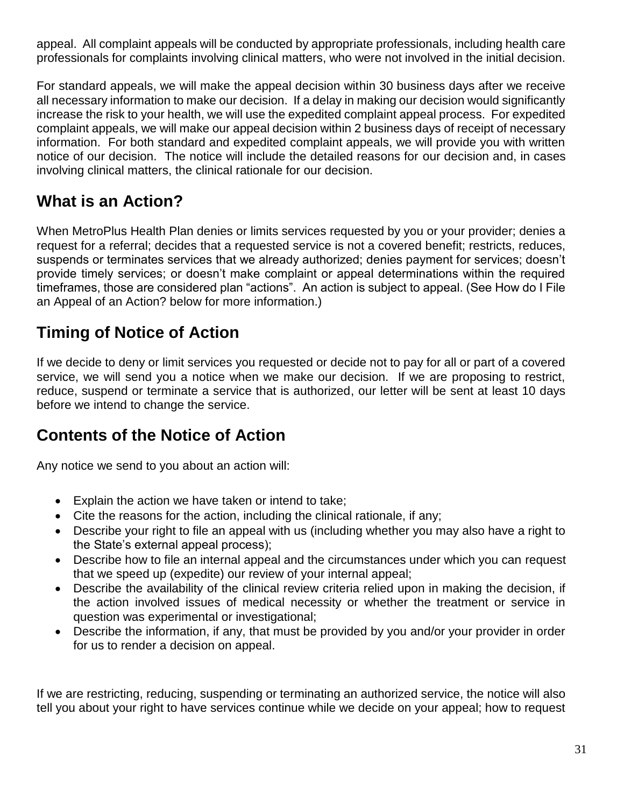appeal. All complaint appeals will be conducted by appropriate professionals, including health care professionals for complaints involving clinical matters, who were not involved in the initial decision.

For standard appeals, we will make the appeal decision within 30 business days after we receive all necessary information to make our decision. If a delay in making our decision would significantly increase the risk to your health, we will use the expedited complaint appeal process. For expedited complaint appeals, we will make our appeal decision within 2 business days of receipt of necessary information. For both standard and expedited complaint appeals, we will provide you with written notice of our decision. The notice will include the detailed reasons for our decision and, in cases involving clinical matters, the clinical rationale for our decision.

#### **What is an Action?**

When MetroPlus Health Plan denies or limits services requested by you or your provider; denies a request for a referral; decides that a requested service is not a covered benefit; restricts, reduces, suspends or terminates services that we already authorized; denies payment for services; doesn't provide timely services; or doesn't make complaint or appeal determinations within the required timeframes, those are considered plan "actions". An action is subject to appeal. (See How do I File an Appeal of an Action? below for more information.)

## **Timing of Notice of Action**

If we decide to deny or limit services you requested or decide not to pay for all or part of a covered service, we will send you a notice when we make our decision. If we are proposing to restrict, reduce, suspend or terminate a service that is authorized, our letter will be sent at least 10 days before we intend to change the service.

#### **Contents of the Notice of Action**

Any notice we send to you about an action will:

- Explain the action we have taken or intend to take;
- Cite the reasons for the action, including the clinical rationale, if any;
- Describe your right to file an appeal with us (including whether you may also have a right to the State's external appeal process);
- Describe how to file an internal appeal and the circumstances under which you can request that we speed up (expedite) our review of your internal appeal;
- Describe the availability of the clinical review criteria relied upon in making the decision, if the action involved issues of medical necessity or whether the treatment or service in question was experimental or investigational;
- Describe the information, if any, that must be provided by you and/or your provider in order for us to render a decision on appeal.

If we are restricting, reducing, suspending or terminating an authorized service, the notice will also tell you about your right to have services continue while we decide on your appeal; how to request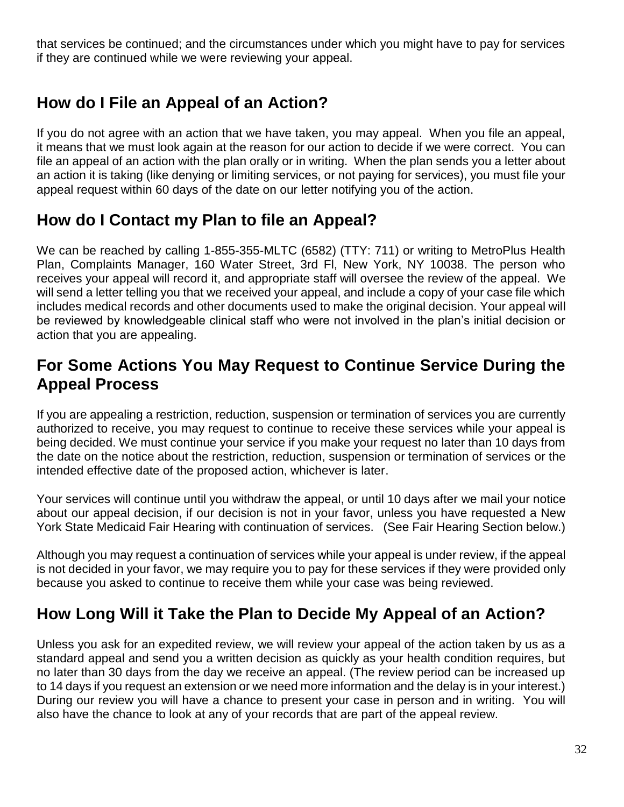that services be continued; and the circumstances under which you might have to pay for services if they are continued while we were reviewing your appeal.

#### **How do I File an Appeal of an Action?**

If you do not agree with an action that we have taken, you may appeal. When you file an appeal, it means that we must look again at the reason for our action to decide if we were correct. You can file an appeal of an action with the plan orally or in writing. When the plan sends you a letter about an action it is taking (like denying or limiting services, or not paying for services), you must file your appeal request within 60 days of the date on our letter notifying you of the action.

#### **How do I Contact my Plan to file an Appeal?**

We can be reached by calling 1-855-355-MLTC (6582) (TTY: 711) or writing to MetroPlus Health Plan, Complaints Manager, 160 Water Street, 3rd Fl, New York, NY 10038. The person who receives your appeal will record it, and appropriate staff will oversee the review of the appeal. We will send a letter telling you that we received your appeal, and include a copy of your case file which includes medical records and other documents used to make the original decision. Your appeal will be reviewed by knowledgeable clinical staff who were not involved in the plan's initial decision or action that you are appealing.

#### **For Some Actions You May Request to Continue Service During the Appeal Process**

If you are appealing a restriction, reduction, suspension or termination of services you are currently authorized to receive, you may request to continue to receive these services while your appeal is being decided. We must continue your service if you make your request no later than 10 days from the date on the notice about the restriction, reduction, suspension or termination of services or the intended effective date of the proposed action, whichever is later.

Your services will continue until you withdraw the appeal, or until 10 days after we mail your notice about our appeal decision, if our decision is not in your favor, unless you have requested a New York State Medicaid Fair Hearing with continuation of services. (See Fair Hearing Section below.)

Although you may request a continuation of services while your appeal is under review, if the appeal is not decided in your favor, we may require you to pay for these services if they were provided only because you asked to continue to receive them while your case was being reviewed.

#### **How Long Will it Take the Plan to Decide My Appeal of an Action?**

Unless you ask for an expedited review, we will review your appeal of the action taken by us as a standard appeal and send you a written decision as quickly as your health condition requires, but no later than 30 days from the day we receive an appeal. (The review period can be increased up to 14 days if you request an extension or we need more information and the delay is in your interest.) During our review you will have a chance to present your case in person and in writing. You will also have the chance to look at any of your records that are part of the appeal review.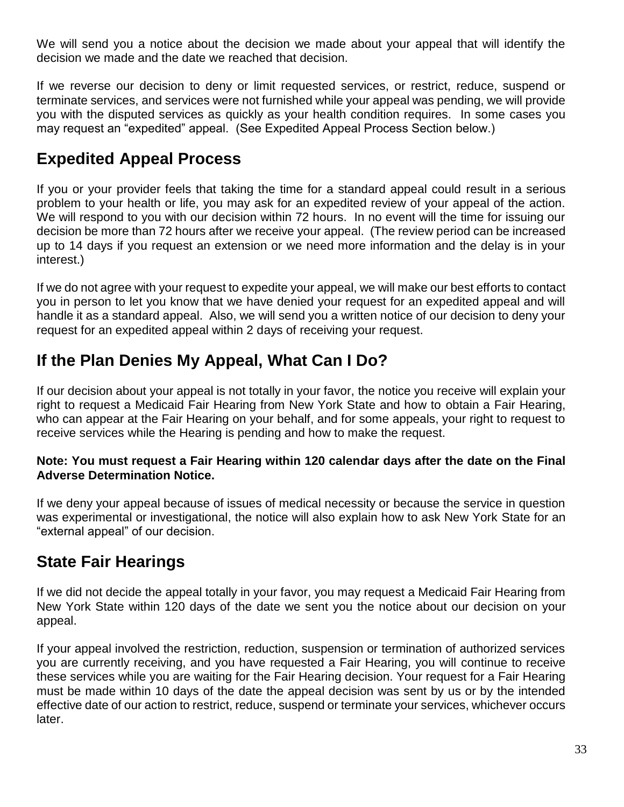We will send you a notice about the decision we made about your appeal that will identify the decision we made and the date we reached that decision.

If we reverse our decision to deny or limit requested services, or restrict, reduce, suspend or terminate services, and services were not furnished while your appeal was pending, we will provide you with the disputed services as quickly as your health condition requires. In some cases you may request an "expedited" appeal. (See Expedited Appeal Process Section below.)

#### **Expedited Appeal Process**

If you or your provider feels that taking the time for a standard appeal could result in a serious problem to your health or life, you may ask for an expedited review of your appeal of the action. We will respond to you with our decision within 72 hours. In no event will the time for issuing our decision be more than 72 hours after we receive your appeal. (The review period can be increased up to 14 days if you request an extension or we need more information and the delay is in your interest.)

If we do not agree with your request to expedite your appeal, we will make our best efforts to contact you in person to let you know that we have denied your request for an expedited appeal and will handle it as a standard appeal. Also, we will send you a written notice of our decision to deny your request for an expedited appeal within 2 days of receiving your request.

#### **If the Plan Denies My Appeal, What Can I Do?**

If our decision about your appeal is not totally in your favor, the notice you receive will explain your right to request a Medicaid Fair Hearing from New York State and how to obtain a Fair Hearing, who can appear at the Fair Hearing on your behalf, and for some appeals, your right to request to receive services while the Hearing is pending and how to make the request.

#### **Note: You must request a Fair Hearing within 120 calendar days after the date on the Final Adverse Determination Notice.**

If we deny your appeal because of issues of medical necessity or because the service in question was experimental or investigational, the notice will also explain how to ask New York State for an "external appeal" of our decision.

#### **State Fair Hearings**

If we did not decide the appeal totally in your favor, you may request a Medicaid Fair Hearing from New York State within 120 days of the date we sent you the notice about our decision on your appeal.

If your appeal involved the restriction, reduction, suspension or termination of authorized services you are currently receiving, and you have requested a Fair Hearing, you will continue to receive these services while you are waiting for the Fair Hearing decision. Your request for a Fair Hearing must be made within 10 days of the date the appeal decision was sent by us or by the intended effective date of our action to restrict, reduce, suspend or terminate your services, whichever occurs later.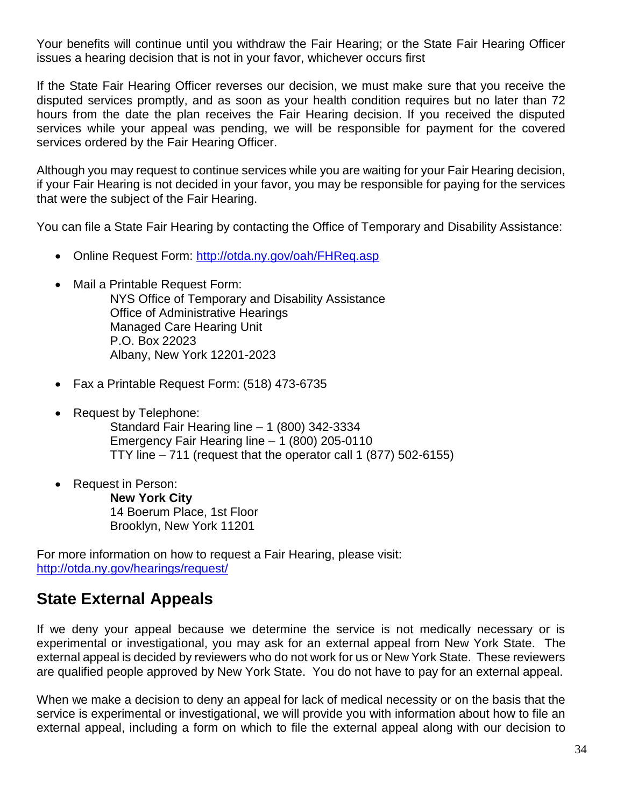Your benefits will continue until you withdraw the Fair Hearing; or the State Fair Hearing Officer issues a hearing decision that is not in your favor, whichever occurs first

If the State Fair Hearing Officer reverses our decision, we must make sure that you receive the disputed services promptly, and as soon as your health condition requires but no later than 72 hours from the date the plan receives the Fair Hearing decision. If you received the disputed services while your appeal was pending, we will be responsible for payment for the covered services ordered by the Fair Hearing Officer.

Although you may request to continue services while you are waiting for your Fair Hearing decision, if your Fair Hearing is not decided in your favor, you may be responsible for paying for the services that were the subject of the Fair Hearing.

You can file a State Fair Hearing by contacting the Office of Temporary and Disability Assistance:

- Online Request Form:<http://otda.ny.gov/oah/FHReq.asp>
- Mail a Printable Request Form:

NYS Office of Temporary and Disability Assistance Office of Administrative Hearings Managed Care Hearing Unit P.O. Box 22023 Albany, New York 12201-2023

- Fax a Printable Request Form: (518) 473-6735
- Request by Telephone:

Standard Fair Hearing line – 1 (800) 342-3334 Emergency Fair Hearing line – 1 (800) 205-0110 TTY line  $-711$  (request that the operator call 1 (877) 502-6155)

• Request in Person:

**New York City** 14 Boerum Place, 1st Floor Brooklyn, New York 11201

For more information on how to request a Fair Hearing, please visit: <http://otda.ny.gov/hearings/request/>

#### **State External Appeals**

If we deny your appeal because we determine the service is not medically necessary or is experimental or investigational, you may ask for an external appeal from New York State. The external appeal is decided by reviewers who do not work for us or New York State. These reviewers are qualified people approved by New York State. You do not have to pay for an external appeal.

When we make a decision to deny an appeal for lack of medical necessity or on the basis that the service is experimental or investigational, we will provide you with information about how to file an external appeal, including a form on which to file the external appeal along with our decision to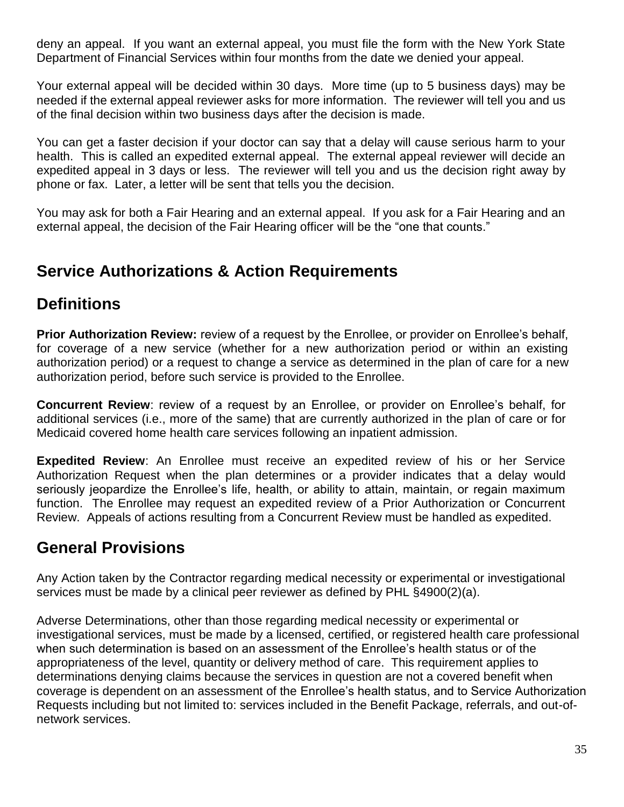deny an appeal. If you want an external appeal, you must file the form with the New York State Department of Financial Services within four months from the date we denied your appeal.

Your external appeal will be decided within 30 days. More time (up to 5 business days) may be needed if the external appeal reviewer asks for more information. The reviewer will tell you and us of the final decision within two business days after the decision is made.

You can get a faster decision if your doctor can say that a delay will cause serious harm to your health. This is called an expedited external appeal. The external appeal reviewer will decide an expedited appeal in 3 days or less. The reviewer will tell you and us the decision right away by phone or fax. Later, a letter will be sent that tells you the decision.

You may ask for both a Fair Hearing and an external appeal. If you ask for a Fair Hearing and an external appeal, the decision of the Fair Hearing officer will be the "one that counts."

#### **Service Authorizations & Action Requirements**

#### **Definitions**

**Prior Authorization Review:** review of a request by the Enrollee, or provider on Enrollee's behalf, for coverage of a new service (whether for a new authorization period or within an existing authorization period) or a request to change a service as determined in the plan of care for a new authorization period, before such service is provided to the Enrollee.

**Concurrent Review**: review of a request by an Enrollee, or provider on Enrollee's behalf, for additional services (i.e., more of the same) that are currently authorized in the plan of care or for Medicaid covered home health care services following an inpatient admission.

**Expedited Review**: An Enrollee must receive an expedited review of his or her Service Authorization Request when the plan determines or a provider indicates that a delay would seriously jeopardize the Enrollee's life, health, or ability to attain, maintain, or regain maximum function. The Enrollee may request an expedited review of a Prior Authorization or Concurrent Review. Appeals of actions resulting from a Concurrent Review must be handled as expedited.

#### **General Provisions**

Any Action taken by the Contractor regarding medical necessity or experimental or investigational services must be made by a clinical peer reviewer as defined by PHL §4900(2)(a).

Adverse Determinations, other than those regarding medical necessity or experimental or investigational services, must be made by a licensed, certified, or registered health care professional when such determination is based on an assessment of the Enrollee's health status or of the appropriateness of the level, quantity or delivery method of care. This requirement applies to determinations denying claims because the services in question are not a covered benefit when coverage is dependent on an assessment of the Enrollee's health status, and to Service Authorization Requests including but not limited to: services included in the Benefit Package, referrals, and out-ofnetwork services.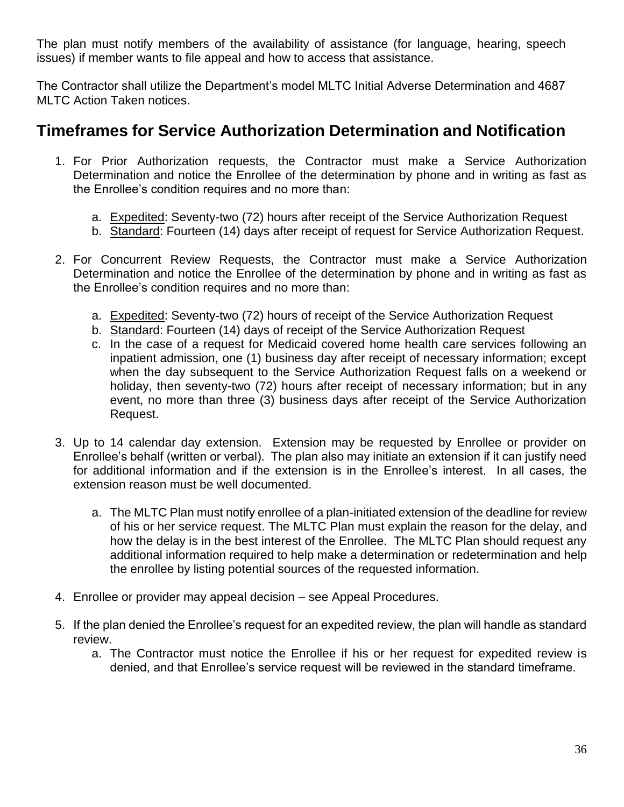The plan must notify members of the availability of assistance (for language, hearing, speech issues) if member wants to file appeal and how to access that assistance.

The Contractor shall utilize the Department's model MLTC Initial Adverse Determination and 4687 MLTC Action Taken notices.

#### **Timeframes for Service Authorization Determination and Notification**

- 1. For Prior Authorization requests, the Contractor must make a Service Authorization Determination and notice the Enrollee of the determination by phone and in writing as fast as the Enrollee's condition requires and no more than:
	- a. Expedited: Seventy-two (72) hours after receipt of the Service Authorization Request
	- b. Standard: Fourteen (14) days after receipt of request for Service Authorization Request.
- 2. For Concurrent Review Requests, the Contractor must make a Service Authorization Determination and notice the Enrollee of the determination by phone and in writing as fast as the Enrollee's condition requires and no more than:
	- a. Expedited: Seventy-two (72) hours of receipt of the Service Authorization Request
	- b. Standard: Fourteen (14) days of receipt of the Service Authorization Request
	- c. In the case of a request for Medicaid covered home health care services following an inpatient admission, one (1) business day after receipt of necessary information; except when the day subsequent to the Service Authorization Request falls on a weekend or holiday, then seventy-two (72) hours after receipt of necessary information; but in any event, no more than three (3) business days after receipt of the Service Authorization Request.
- 3. Up to 14 calendar day extension. Extension may be requested by Enrollee or provider on Enrollee's behalf (written or verbal). The plan also may initiate an extension if it can justify need for additional information and if the extension is in the Enrollee's interest. In all cases, the extension reason must be well documented.
	- a. The MLTC Plan must notify enrollee of a plan-initiated extension of the deadline for review of his or her service request. The MLTC Plan must explain the reason for the delay, and how the delay is in the best interest of the Enrollee. The MLTC Plan should request any additional information required to help make a determination or redetermination and help the enrollee by listing potential sources of the requested information.
- 4. Enrollee or provider may appeal decision see Appeal Procedures.
- 5. If the plan denied the Enrollee's request for an expedited review, the plan will handle as standard review.
	- a. The Contractor must notice the Enrollee if his or her request for expedited review is denied, and that Enrollee's service request will be reviewed in the standard timeframe.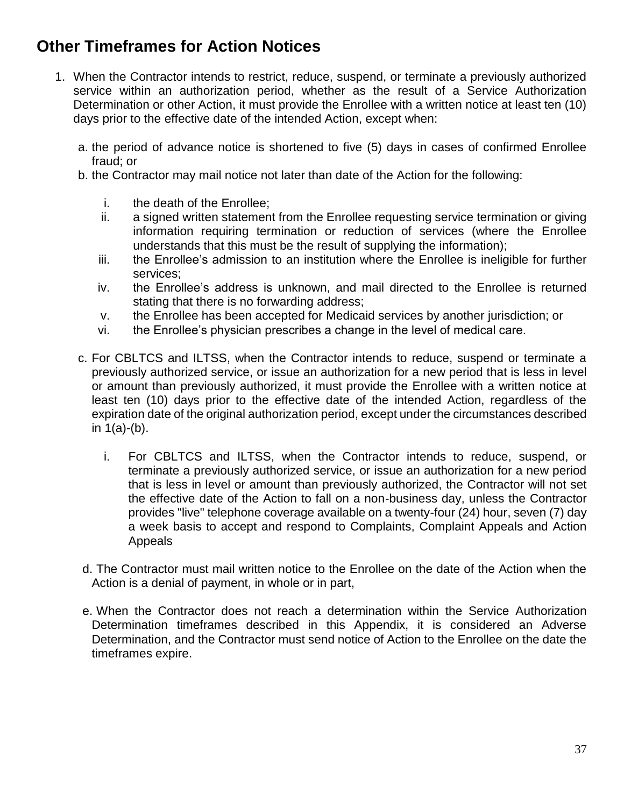#### **Other Timeframes for Action Notices**

- 1. When the Contractor intends to restrict, reduce, suspend, or terminate a previously authorized service within an authorization period, whether as the result of a Service Authorization Determination or other Action, it must provide the Enrollee with a written notice at least ten (10) days prior to the effective date of the intended Action, except when:
	- a. the period of advance notice is shortened to five (5) days in cases of confirmed Enrollee fraud; or
	- b. the Contractor may mail notice not later than date of the Action for the following:
		- i. the death of the Enrollee;
		- ii. a signed written statement from the Enrollee requesting service termination or giving information requiring termination or reduction of services (where the Enrollee understands that this must be the result of supplying the information);
		- iii. the Enrollee's admission to an institution where the Enrollee is ineligible for further services;
		- iv. the Enrollee's address is unknown, and mail directed to the Enrollee is returned stating that there is no forwarding address;
		- v. the Enrollee has been accepted for Medicaid services by another jurisdiction; or
		- vi. the Enrollee's physician prescribes a change in the level of medical care.
	- c. For CBLTCS and ILTSS, when the Contractor intends to reduce, suspend or terminate a previously authorized service, or issue an authorization for a new period that is less in level or amount than previously authorized, it must provide the Enrollee with a written notice at least ten (10) days prior to the effective date of the intended Action, regardless of the expiration date of the original authorization period, except under the circumstances described in 1(a)-(b).
		- i. For CBLTCS and ILTSS, when the Contractor intends to reduce, suspend, or terminate a previously authorized service, or issue an authorization for a new period that is less in level or amount than previously authorized, the Contractor will not set the effective date of the Action to fall on a non-business day, unless the Contractor provides "live" telephone coverage available on a twenty-four (24) hour, seven (7) day a week basis to accept and respond to Complaints, Complaint Appeals and Action Appeals
	- d. The Contractor must mail written notice to the Enrollee on the date of the Action when the Action is a denial of payment, in whole or in part,
	- e. When the Contractor does not reach a determination within the Service Authorization Determination timeframes described in this Appendix, it is considered an Adverse Determination, and the Contractor must send notice of Action to the Enrollee on the date the timeframes expire.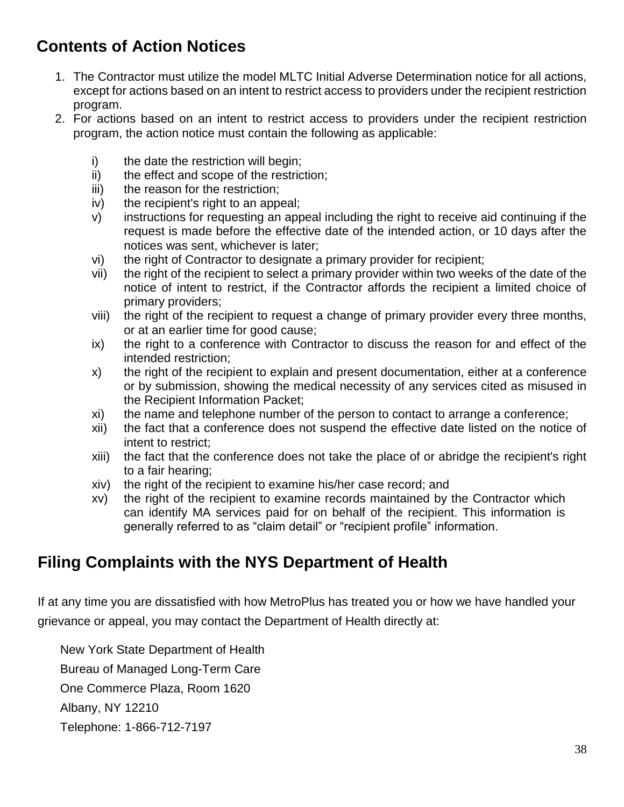#### **Contents of Action Notices**

- 1. The Contractor must utilize the model MLTC Initial Adverse Determination notice for all actions, except for actions based on an intent to restrict access to providers under the recipient restriction program.
- 2. For actions based on an intent to restrict access to providers under the recipient restriction program, the action notice must contain the following as applicable:
	- i) the date the restriction will begin;
	- ii) the effect and scope of the restriction;
	- iii) the reason for the restriction;
	- iv) the recipient's right to an appeal;
	- v) instructions for requesting an appeal including the right to receive aid continuing if the request is made before the effective date of the intended action, or 10 days after the notices was sent, whichever is later;
	- vi) the right of Contractor to designate a primary provider for recipient;
	- vii) the right of the recipient to select a primary provider within two weeks of the date of the notice of intent to restrict, if the Contractor affords the recipient a limited choice of primary providers;
	- viii) the right of the recipient to request a change of primary provider every three months, or at an earlier time for good cause;
	- ix) the right to a conference with Contractor to discuss the reason for and effect of the intended restriction;
	- x) the right of the recipient to explain and present documentation, either at a conference or by submission, showing the medical necessity of any services cited as misused in the Recipient Information Packet;
	- xi) the name and telephone number of the person to contact to arrange a conference;
	- xii) the fact that a conference does not suspend the effective date listed on the notice of intent to restrict;
	- xiii) the fact that the conference does not take the place of or abridge the recipient's right to a fair hearing;
	- xiv) the right of the recipient to examine his/her case record; and
	- xv) the right of the recipient to examine records maintained by the Contractor which can identify MA services paid for on behalf of the recipient. This information is generally referred to as "claim detail" or "recipient profile" information.

#### **Filing Complaints with the NYS Department of Health**

If at any time you are dissatisfied with how MetroPlus has treated you or how we have handled your grievance or appeal, you may contact the Department of Health directly at:

New York State Department of Health Bureau of Managed Long-Term Care One Commerce Plaza, Room 1620 Albany, NY 12210 Telephone: 1-866-712-7197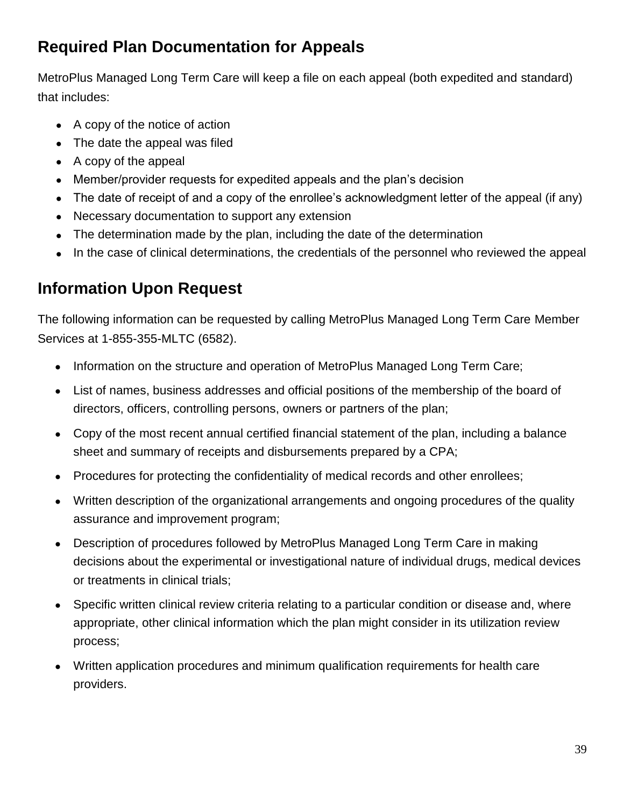## **Required Plan Documentation for Appeals**

MetroPlus Managed Long Term Care will keep a file on each appeal (both expedited and standard) that includes:

- A copy of the notice of action
- The date the appeal was filed
- A copy of the appeal
- Member/provider requests for expedited appeals and the plan's decision
- The date of receipt of and a copy of the enrollee's acknowledgment letter of the appeal (if any)
- Necessary documentation to support any extension
- The determination made by the plan, including the date of the determination
- In the case of clinical determinations, the credentials of the personnel who reviewed the appeal

## **Information Upon Request**

The following information can be requested by calling MetroPlus Managed Long Term Care Member Services at 1-855-355-MLTC (6582).

- Information on the structure and operation of MetroPlus Managed Long Term Care;
- List of names, business addresses and official positions of the membership of the board of directors, officers, controlling persons, owners or partners of the plan;
- Copy of the most recent annual certified financial statement of the plan, including a balance sheet and summary of receipts and disbursements prepared by a CPA;
- Procedures for protecting the confidentiality of medical records and other enrollees;
- Written description of the organizational arrangements and ongoing procedures of the quality assurance and improvement program;
- Description of procedures followed by MetroPlus Managed Long Term Care in making decisions about the experimental or investigational nature of individual drugs, medical devices or treatments in clinical trials;
- Specific written clinical review criteria relating to a particular condition or disease and, where appropriate, other clinical information which the plan might consider in its utilization review process;
- Written application procedures and minimum qualification requirements for health care providers.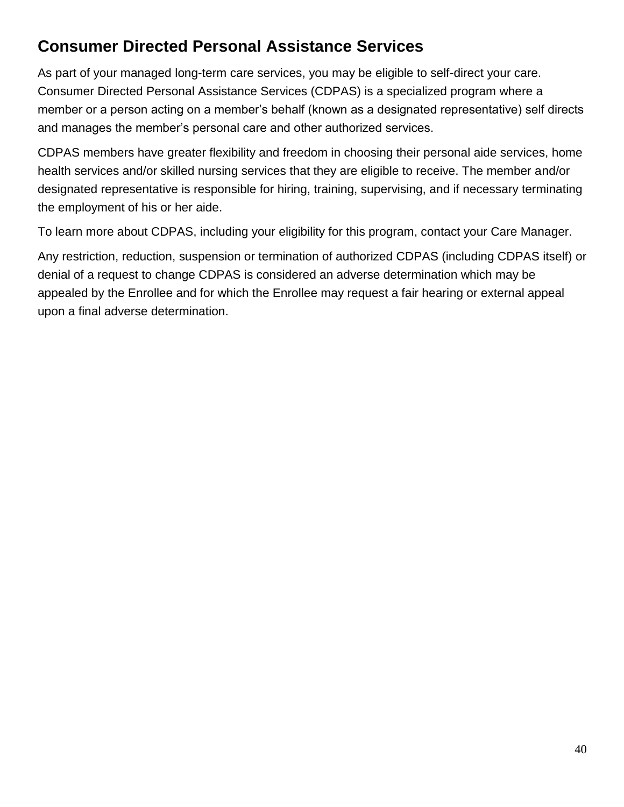## **Consumer Directed Personal Assistance Services**

As part of your managed long-term care services, you may be eligible to self-direct your care. Consumer Directed Personal Assistance Services (CDPAS) is a specialized program where a member or a person acting on a member's behalf (known as a designated representative) self directs and manages the member's personal care and other authorized services.

CDPAS members have greater flexibility and freedom in choosing their personal aide services, home health services and/or skilled nursing services that they are eligible to receive. The member and/or designated representative is responsible for hiring, training, supervising, and if necessary terminating the employment of his or her aide.

To learn more about CDPAS, including your eligibility for this program, contact your Care Manager.

Any restriction, reduction, suspension or termination of authorized CDPAS (including CDPAS itself) or denial of a request to change CDPAS is considered an adverse determination which may be appealed by the Enrollee and for which the Enrollee may request a fair hearing or external appeal upon a final adverse determination.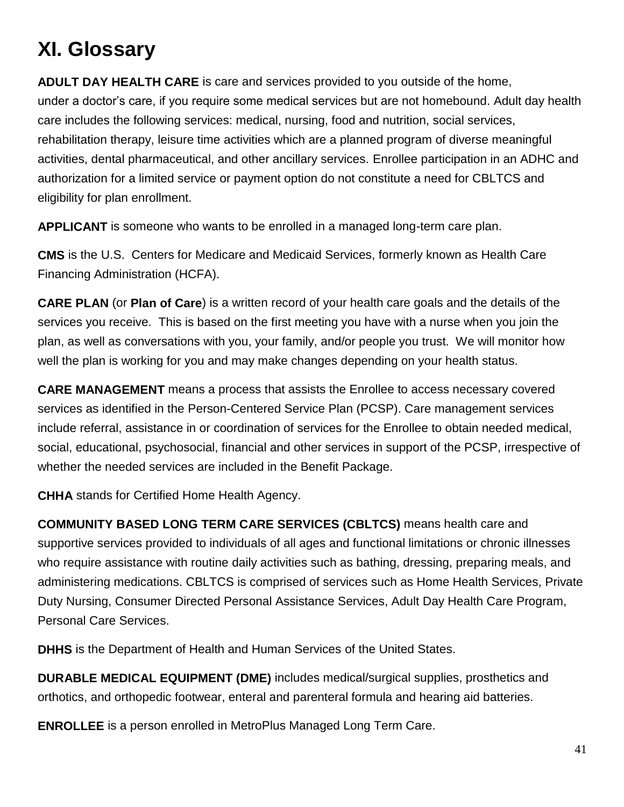# **XI. Glossary**

**ADULT DAY HEALTH CARE** is care and services provided to you outside of the home, under a doctor's care, if you require some medical services but are not homebound. Adult day health care includes the following services: medical, nursing, food and nutrition, social services, rehabilitation therapy, leisure time activities which are a planned program of diverse meaningful activities, dental pharmaceutical, and other ancillary services. Enrollee participation in an ADHC and authorization for a limited service or payment option do not constitute a need for CBLTCS and eligibility for plan enrollment.

**APPLICANT** is someone who wants to be enrolled in a managed long-term care plan.

**CMS** is the U.S. Centers for Medicare and Medicaid Services, formerly known as Health Care Financing Administration (HCFA).

**CARE PLAN** (or **Plan of Care**) is a written record of your health care goals and the details of the services you receive. This is based on the first meeting you have with a nurse when you join the plan, as well as conversations with you, your family, and/or people you trust. We will monitor how well the plan is working for you and may make changes depending on your health status.

**CARE MANAGEMENT** means a process that assists the Enrollee to access necessary covered services as identified in the Person-Centered Service Plan (PCSP). Care management services include referral, assistance in or coordination of services for the Enrollee to obtain needed medical, social, educational, psychosocial, financial and other services in support of the PCSP, irrespective of whether the needed services are included in the Benefit Package.

**CHHA** stands for Certified Home Health Agency.

**COMMUNITY BASED LONG TERM CARE SERVICES (CBLTCS)** means health care and supportive services provided to individuals of all ages and functional limitations or chronic illnesses who require assistance with routine daily activities such as bathing, dressing, preparing meals, and administering medications. CBLTCS is comprised of services such as Home Health Services, Private Duty Nursing, Consumer Directed Personal Assistance Services, Adult Day Health Care Program, Personal Care Services.

**DHHS** is the Department of Health and Human Services of the United States.

**DURABLE MEDICAL EQUIPMENT (DME)** includes medical/surgical supplies, prosthetics and orthotics, and orthopedic footwear, enteral and parenteral formula and hearing aid batteries.

**ENROLLEE** is a person enrolled in MetroPlus Managed Long Term Care.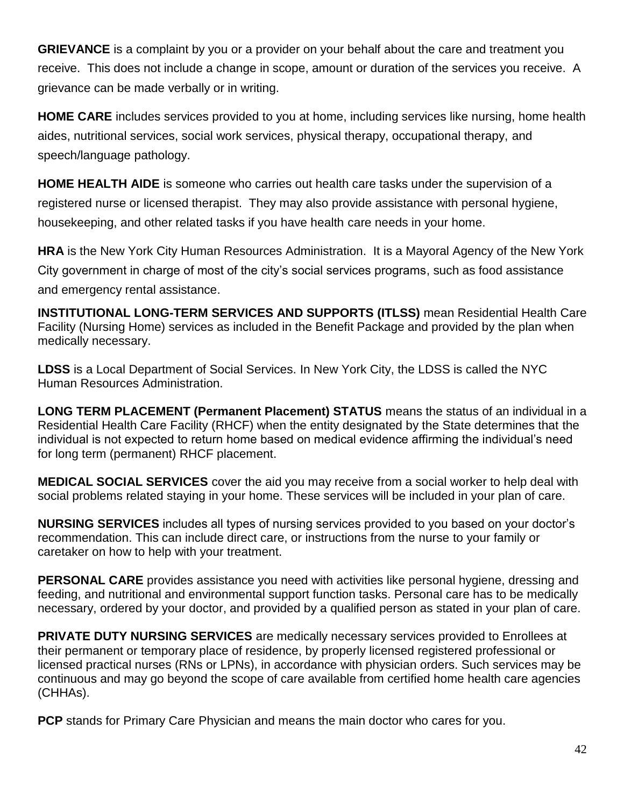**GRIEVANCE** is a complaint by you or a provider on your behalf about the care and treatment you receive. This does not include a change in scope, amount or duration of the services you receive. A grievance can be made verbally or in writing.

**HOME CARE** includes services provided to you at home, including services like nursing, home health aides, nutritional services, social work services, physical therapy, occupational therapy, and speech/language pathology.

**HOME HEALTH AIDE** is someone who carries out health care tasks under the supervision of a registered nurse or licensed therapist. They may also provide assistance with personal hygiene, housekeeping, and other related tasks if you have health care needs in your home.

**HRA** is the New York City Human Resources Administration. It is a Mayoral Agency of the New York City government in charge of most of the city's social services programs, such as food assistance and emergency rental assistance.

**INSTITUTIONAL LONG-TERM SERVICES AND SUPPORTS (ITLSS)** mean Residential Health Care Facility (Nursing Home) services as included in the Benefit Package and provided by the plan when medically necessary.

**LDSS** is a Local Department of Social Services. In New York City, the LDSS is called the NYC Human Resources Administration.

**LONG TERM PLACEMENT (Permanent Placement) STATUS** means the status of an individual in a Residential Health Care Facility (RHCF) when the entity designated by the State determines that the individual is not expected to return home based on medical evidence affirming the individual's need for long term (permanent) RHCF placement.

**MEDICAL SOCIAL SERVICES** cover the aid you may receive from a social worker to help deal with social problems related staying in your home. These services will be included in your plan of care.

**NURSING SERVICES** includes all types of nursing services provided to you based on your doctor's recommendation. This can include direct care, or instructions from the nurse to your family or caretaker on how to help with your treatment.

**PERSONAL CARE** provides assistance you need with activities like personal hygiene, dressing and feeding, and nutritional and environmental support function tasks. Personal care has to be medically necessary, ordered by your doctor, and provided by a qualified person as stated in your plan of care.

**PRIVATE DUTY NURSING SERVICES** are medically necessary services provided to Enrollees at their permanent or temporary place of residence, by properly licensed registered professional or licensed practical nurses (RNs or LPNs), in accordance with physician orders. Such services may be continuous and may go beyond the scope of care available from certified home health care agencies (CHHAs).

**PCP** stands for Primary Care Physician and means the main doctor who cares for you.